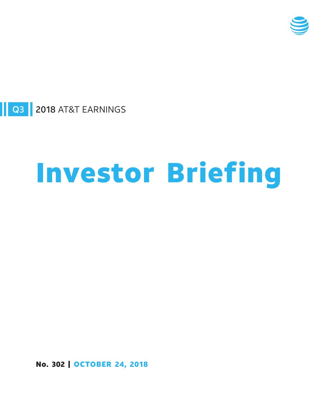



# Investor Briefing

No. 302 | OCTOBER 24, 2018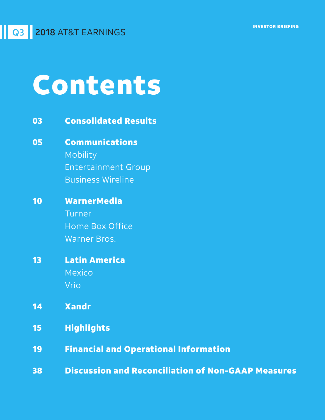# Contents

| 03 | <b>Consolidated Results</b>                               |
|----|-----------------------------------------------------------|
| 05 | <b>Communications</b>                                     |
|    | Mobility                                                  |
|    | <b>Entertainment Group</b>                                |
|    | <b>Business Wireline</b>                                  |
| 10 | <b>WarnerMedia</b>                                        |
|    | <b>Turner</b>                                             |
|    | Home Box Office                                           |
|    | <b>Warner Bros.</b>                                       |
| 13 | <b>Latin America</b>                                      |
|    | <b>Mexico</b>                                             |
|    | <b>Vrio</b>                                               |
| 14 | <b>Xandr</b>                                              |
| 15 | <b>Highlights</b>                                         |
| 19 | <b>Financial and Operational Information</b>              |
| 38 | <b>Discussion and Reconciliation of Non-GAAP Measures</b> |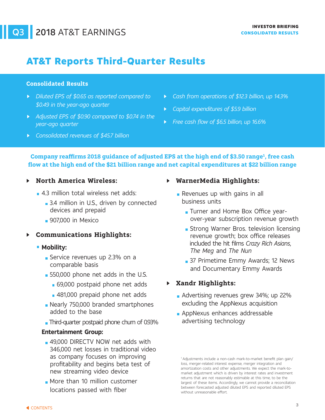### AT&T Reports Third-Quarter Results

#### **Consolidated Results**

- ▶ *Diluted EPS of \$0.65 as reported compared to \$0.49 in the year-ago quarter*
- ▶ *Adjusted EPS of \$0.90 compared to \$0.74 in the year-ago quarter*
- ▶ *Cash from operations of \$12.3 billion, up 14.3%*
- Capital expenditures of \$5.9 billion
- Free cash flow of \$6.5 billion, up 16.6%
- Nj *Consolidated revenues of \$45.7 billion*

**Company reaffirms 2018 guidance of adjusted EPS at the high end of \$3.50 range1 , free cash flow at the high end of the \$21 billion range and net capital expenditures at \$22 billion range**

- **North America Wireless:** 
	- 4.3 million total wireless net adds:
		- 3.4 million in U.S., driven by connected devices and prepaid
		- **907,000 in Mexico**
- **Communications Highlights:** 
	- **Mobility:** 
		- Service revenues up 2.3% on a comparable basis
		- 550,000 phone net adds in the U.S.
			- 69,000 postpaid phone net adds
			- 481,000 prepaid phone net adds
		- Nearly 750,000 branded smartphones added to the base
		- Third-quarter postpaid phone churn of 0.93%

#### **Entertainment Group:**

- **49,000 DIRECTV NOW net adds with**  346,000 net losses in traditional video as company focuses on improving profitability and begins beta test of new streaming video device
- **More than 10 million customer**  locations passed with fiber

#### Nj **WarnerMedia Highlights:**

- **Revenues up with gains in all**  business units
	- **Turner and Home Box Office year**over-year subscription revenue growth
	- **Strong Warner Bros. television licensing**  revenue growth; box office releases included the hit films *Crazy Rich Asians*, *The Meg* and *The Nun*
	- **37 Primetime Emmy Awards; 12 News** and Documentary Emmy Awards

#### ▶ Xandr Highlights:

- Advertising revenues grew 34%; up 22% excluding the AppNexus acquisition
- **AppNexus enhances addressable** advertising technology

<sup>1</sup>Adjustments include a non-cash mark-to-market benefit plan gain/ loss, merger-related interest expense, merger integration and amortization costs and other adjustments. We expect the mark-tomarket adjustment which is driven by interest rates and investment returns that are not reasonably estimable at this time, to be the largest of these items. Accordingly, we cannot provide a reconciliation between forecasted adjusted diluted EPS and reported diluted EPS without unreasonable effort.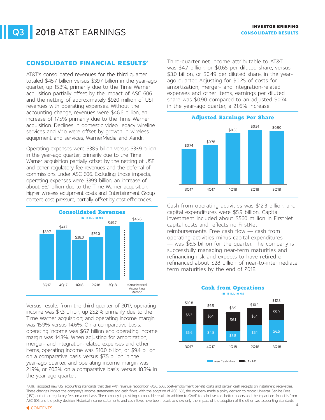#### CONSOLIDATED FINANCIAL RESULTS2

AT&T's consolidated revenues for the third quarter totaled \$45.7 billion versus \$39.7 billion in the year-ago quarter, up 15.3%, primarily due to the Time Warner acquisition partially offset by the impact of ASC 606 and the netting of approximately \$920 million of USF revenues with operating expenses. Without the accounting change, revenues were \$46.6 billion, an increase of 17.5% primarily due to the Time Warner acquisition. Declines in domestic video, legacy wireline services and Vrio were offset by growth in wireless equipment and services, WarnerMedia and Xandr.

Operating expenses were \$38.5 billion versus \$33.9 billion in the year-ago quarter, primarily due to the Time Warner acquisition partially offset by the netting of USF and other regulatory fee revenues and the deferral of commissions under ASC 606. Excluding those impacts, operating expenses were \$39.9 billion, an increase of about \$6.1 billion due to the Time Warner acquisition, higher wireless equipment costs and Entertainment Group content cost pressure, partially offset by cost efficiencies.



Versus results from the third quarter of 2017, operating income was \$7.3 billion, up 25.2% primarily due to the Time Warner acquisition; and operating income margin was 15.9% versus 14.6%. On a comparative basis, operating income was \$6.7 billion and operating income margin was 14.3%. When adjusting for amortization, merger- and integration-related expenses and other items, operating income was \$10.0 billion, or \$9.4 billion on a comparative basis, versus \$7.5 billion in the year-ago quarter, and operating income margin was 21.9%, or 20.3% on a comparative basis, versus 18.8% in the year-ago quarter.

Third-quarter net income attributable to AT&T was \$4.7 billion, or \$0.65 per diluted share, versus \$3.0 billion, or \$0.49 per diluted share, in the yearago quarter. Adjusting for \$0.25 of costs for amortization, merger- and integration-related expenses and other items, earnings per diluted share was \$0.90 compared to an adjusted \$0.74 in the year-ago quarter, a 21.6% increase.



Cash from operating activities was \$12.3 billion, and capital expenditures were \$5.9 billion. Capital investment included about \$560 million in FirstNet capital costs and reflects no FirstNet reimbursements. Free cash flow — cash from operating activities minus capital expenditures — was \$6.5 billion for the quarter. The company is successfully managing near-term maturities and refinancing risk and expects to have retired or refinanced about \$28 billion of near-to-intermediate term maturities by the end of 2018.



<sup>2</sup> AT&T adopted new U.S. accounting standards that deal with revenue recognition (ASC 606), post-employment benefit costs and certain cash receipts on installment receivables. These changes impact the company's income statements and cash flows. With the adoption of ASC 606, the company made a policy decision to record Universal Service Fees (USF) and other regulatory fees on a net basis. The company is providing comparable results in addition to GAAP to help investors better understand the impact on financials from ASC 606 and the policy decision. Historical income statements and cash flows have been recast to show only the impact of the adoption of the other two accounting standards.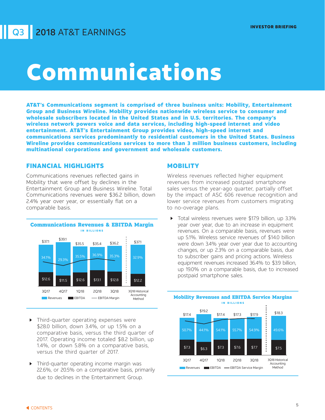## Communications

AT&T's Communications segment is comprised of three business units: Mobility, Entertainment Group and Business Wireline. Mobility provides nationwide wireless service to consumer and wholesale subscribers located in the United States and in U.S. territories. The company's wireless network powers voice and data services, including high-speed internet and video entertainment. AT&T's Entertainment Group provides video, high-speed internet and communications services predominantly to residential customers in the United States. Business Wireline provides communications services to more than 3 million business customers, including multinational corporations and government and wholesale customers.

#### FINANCIAL HIGHLIGHTS

Communications revenues reflected gains in Mobility that were offset by declines in the Entertainment Group and Business Wireline. Total Communications revenues were \$36.2 billion, down 2.4% year over year, or essentially flat on a comparable basis.



#### $\triangleright$  Third-quarter operating expenses were \$28.0 billion, down 3.4%, or up 1.5% on a comparative basis, versus the third quarter of 2017. Operating income totaled \$8.2 billion, up 1.4%, or down 5.8% on a comparative basis, versus the third quarter of 2017.

▶ Third-quarter operating income margin was 22.6%, or 20.5% on a comparative basis, primarily due to declines in the Entertainment Group.

#### **MOBILITY**

Wireless revenues reflected higher equipment revenues from increased postpaid smartphone sales versus the year-ago quarter, partially offset by the impact of ASC 606 revenue recognition and lower service revenues from customers migrating to no-overage plans.

 $\triangleright$  Total wireless revenues were \$17.9 billion, up 3.3% year over year, due to an increase in equipment revenues. On a comparable basis, revenues were up 5.1%. Wireless service revenues of \$14.0 billion were down 3.4% year over year due to accounting changes, or up 2.3% on a comparable basis, due to subscriber gains and pricing actions. Wireless equipment revenues increased 36.4% to \$3.9 billion, up 19.0% on a comparable basis, due to increased postpaid smartphone sales.



#### Mobility Revenues and EBITDA Service Margins IN BILLIONS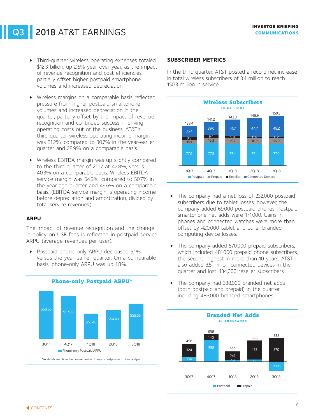- $\triangleright$  Third-quarter wireless operating expenses totaled \$12.3 billion, up 2.5% year over year, as the impact of revenue recognition and cost efficiencies partially offset higher postpaid smartphone volumes and increased depreciation.
- Nj Wireless margins on a comparable basis reflected pressure from higher postpaid smartphone volumes and increased depreciation in the quarter, partially offset by the impact of revenue recognition and continued success in driving operating costs out of the business. AT&T's third-quarter wireless operating income margin was 31.2%, compared to 30.7% in the year-earlier quarter and 28.9% on a comparable basis.
- Nj Wireless EBITDA margin was up slightly compared to the third quarter of 2017 at 42.8%, versus 40.3% on a comparable basis. Wireless EBITDA service margin was 54.9%, compared to 50.7% in the year-ago quarter and 49.6% on a comparable basis. (EBITDA service margin is operating income before depreciation and amortization, divided by total service revenues.)

#### **ARPU**

The impact of revenue recognition and the change in policy on USF fees is reflected in postpaid service ARPU (average revenues per user).

▶ Postpaid phone-only ARPU decreased 5.1% versus the year-earlier quarter. On a comparable basis, phone-only ARPU was up 1.8%.



#### Phone-only Postpaid ARPU\*

#### **SUBSCRIBER METRICS**

In the third quarter, AT&T posted a record net increase in total wireless subscribers of 3.4 million to reach 150.3 million in service.



- The company had a net loss of 232,000 postpaid subscribers due to tablet losses; however, the company added 69,000 postpaid phones. Postpaid smartphone net adds were 171,000. Gains in phones and connected watches were more than offset by 420,000 tablet and other branded computing device losses.
- $\blacktriangleright$  The company added 570,000 prepaid subscribers, which included 481,000 prepaid phone subscribers, the second highest in more than 10 years. AT&T also added 3.5 million connected devices in the quarter and lost 434,000 reseller subscribers.
- ▶ The company had 338,000 branded net adds (both postpaid and prepaid) in the quarter, including 486,000 branded smartphones.

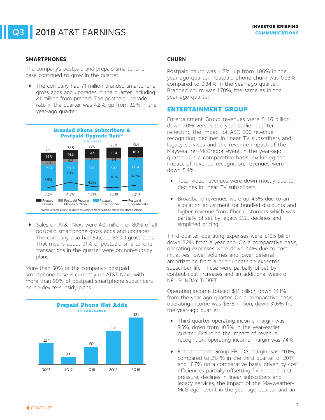

#### **SMARTPHONES**

The company's postpaid and prepaid smartphone base continued to grow in the quarter.

 $\triangleright$  The company had 7.1 million branded smartphone gross adds and upgrades in the quarter, including 2.1 million from prepaid. The postpaid upgrade rate in the quarter was 4.2%, up from 3.9% in the year-ago quarter.



▶ Sales on AT&T Next were 4.0 million, or 80% of all postpaid smartphone gross adds and upgrades. The company also had 545,000 BYOD gross adds. That means about 91% of postpaid smartphone transactions in the quarter were on non-subsidy plans.

More than 50% of the company's postpaid smartphone base is currently on AT&T Next, with more than 90% of postpaid smartphone subscribers on no-device-subsidy plans.



#### **CHURN**

Postpaid churn was 1.17%, up from 1.06% in the year-ago quarter. Postpaid phone churn was 0.93%, compared to 0.84% in the year-ago quarter. Branded churn was 1.70%, the same as in the year-ago quarter.

#### ENTERTAINMENT GROUP

Entertainment Group revenues were \$11.6 billion, down 7.0% versus the year-earlier quarter, reflecting the impact of ASC 606 revenue recognition, declines in linear TV subscribers and legacy services and the revenue impact of the Mayweather-McGregor event in the year-ago quarter. On a comparative basis, excluding the impact of revenue recognition, revenues were down 5.4%.

- $\triangleright$  Total video revenues were down mostly due to declines in linear TV subscribers.
- ▶ Broadband revenues were up 4.5% due to an allocation adjustment for bundled discounts and higher revenue from fiber customers which was partially offset by legacy DSL declines and simplified pricing.

Third-quarter operating expenses were \$10.5 billion, down 6.2% from a year ago. On a comparative basis, operating expenses were down 2.4% due to cost initiatives, lower volumes and lower deferral amortization from a prior update to expected subscriber life. These were partially offset by content-cost increases and an additional week of NFL SUNDAY TICKET.

Operating income totaled \$1.1 billion, down 14.1% from the year-ago quarter. On a comparative basis, operating income was \$878 million, down 31.6% from the year-ago quarter.

- $\triangleright$  Third-quarter operating income margin was 9.5%, down from 10.3% in the year-earlier quarter. Excluding the impact of revenue recognition, operating income margin was 7.4%.
- ▶ Entertainment Group EBITDA margin was 21.0%, compared to 21.4% in the third quarter of 2017 and 18.7% on a comparative basis, driven by cost efficiencies partially offsetting TV content-cost pressure, declines in linear subscribers and legacy services, the impact of the Mayweather-McGregor event in the year-ago quarter and an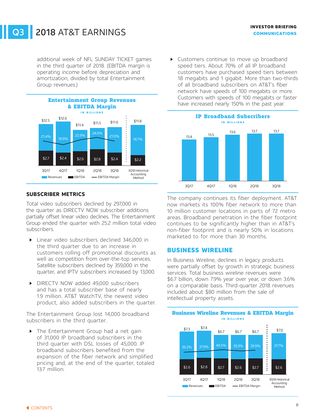

additional week of NFL SUNDAY TICKET games in the third quarter of 2018. (EBITDA margin is operating income before depreciation and amortization, divided by total Entertainment Group revenues.)



#### **SUBSCRIBER METRICS**

Total video subscribers declined by 297,000 in the quarter as DIRECTV NOW subscriber additions partially offset linear video declines. The Entertainment Group ended the quarter with 25.2 million total video subscribers.

- $\blacktriangleright$  Linear video subscribers declined 346,000 in the third quarter due to an increase in customers rolling off promotional discounts as well as competition from over-the-top services. Satellite subscribers declined by 359,000 in the quarter, and IPTV subscribers increased by 13,000.
- DIRECTV NOW added 49,000 subscribers and has a total subscriber base of nearly 1.9 million. AT&T WatchTV, the newest video product, also added subscribers in the quarter.

The Entertainment Group lost 14,000 broadband subscribers in the third quarter.

▶ The Entertainment Group had a net gain of 31,000 IP broadband subscribers in the third quarter with DSL losses of 45,000. IP broadband subscribers benefited from the expansion of the fiber network and simplified pricing and, at the end of the quarter, totaled 13.7 million.

▶ Customers continue to move up broadband speed tiers. About 70% of all IP broadband customers have purchased speed tiers between 18 megabits and 1 gigabit. More than two-thirds of all broadband subscribers on AT&T's fiber network have speeds of 100 megabits or more. Customers with speeds of 100 megabits or faster have increased nearly 150% in the past year.



The company continues its fiber deployment. AT&T now markets its 100% fiber network to more than 10 million customer locations in parts of 72 metro areas. Broadband penetration in the fiber footprint continues to be significantly higher than in AT&T's non-fiber footprint and is nearly 50% in locations marketed to for more than 30 months.

#### BUSINESS WIRELINE

In Business Wireline, declines in legacy products were partially offset by growth in strategic business services. Total business wireline revenues were \$6.7 billion, down 7.9% year over year, or down 3.6% on a comparable basis. Third-quarter 2018 revenues included about \$80 million from the sale of intellectual property assets.



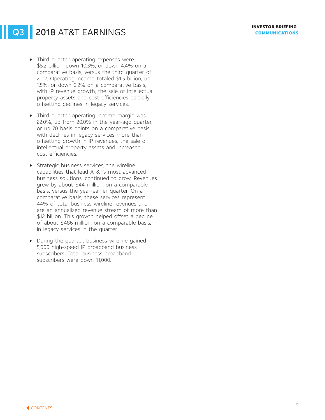#### INVESTOR BRIEFING COMMUNICATIONS

### **Q3** 2018 AT&T EARNINGS

- $\triangleright$  Third-quarter operating expenses were \$5.2 billion, down 10.3%, or down 4.4% on a comparative basis, versus the third quarter of 2017. Operating income totaled \$1.5 billion, up 1.5%, or down 0.2% on a comparative basis, with IP revenue growth, the sale of intellectual property assets and cost efficiencies partially offsetting declines in legacy services.
- ▶ Third-quarter operating income margin was 22.0%, up from 20.0% in the year-ago quarter, or up 70 basis points on a comparative basis, with declines in legacy services more than offsetting growth in IP revenues, the sale of intellectual property assets and increased cost efficiencies.
- $\triangleright$  Strategic business services, the wireline capabilities that lead AT&T's most advanced business solutions, continued to grow. Revenues grew by about \$44 million, on a comparable basis, versus the year-earlier quarter. On a comparative basis, these services represent 44% of total business wireline revenues and are an annualized revenue stream of more than \$12 billion. This growth helped offset a decline of about \$486 million, on a comparable basis, in legacy services in the quarter.
- $\triangleright$  During the quarter, business wireline gained 5,000 high-speed IP broadband business subscribers. Total business broadband subscribers were down 11,000.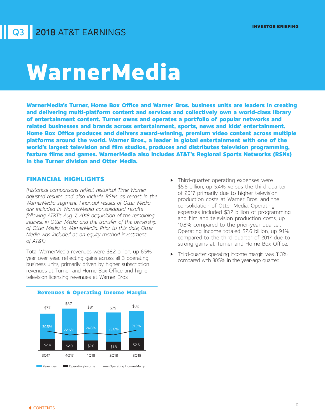## WarnerMedia

WarnerMedia's Turner, Home Box Office and Warner Bros. business units are leaders in creating and delivering multi-platform content and services and collectively own a world-class library of entertainment content. Turner owns and operates a portfolio of popular networks and related businesses and brands across entertainment, sports, news and kids' entertainment. Home Box Office produces and delivers award-winning, premium video content across multiple platforms around the world. Warner Bros., a leader in global entertainment with one of the world's largest television and film studios, produces and distributes television programming, feature films and games. WarnerMedia also includes AT&T's Regional Sports Networks (RSNs) in the Turner division and Otter Media.

#### FINANCIAL HIGHLIGHTS

*(Historical comparisons reflect historical Time Warner adjusted results and also include RSNs as recast in the WarnerMedia segment. Financial results of Otter Media are included in WarnerMedia consolidated results following AT&T's Aug. 7, 2018 acquisition of the remaining interest in Otter Media and the transfer of the ownership of Otter Media to WarnerMedia. Prior to this date, Otter Media was included as an equity-method investment of AT&T.)* 

Total WarnerMedia revenues were \$8.2 billion, up 6.5% year over year. reflecting gains across all 3 operating business units, primarily driven by higher subscription revenues at Turner and Home Box Office and higher television licensing revenues at Warner Bros.

- $\triangleright$  Third-quarter operating expenses were \$5.6 billion, up 5.4% versus the third quarter of 2017 primarily due to higher television production costs at Warner Bros. and the consolidation of Otter Media. Operating expenses included \$3.2 billion of programming and film and television production costs, up 10.8% compared to the prior-year quarter. Operating income totaled \$2.6 billion, up 9.1% compared to the third quarter of 2017 due to strong gains at Turner and Home Box Office.
- $\blacktriangleright$  Third-quarter operating income margin was 31.3% compared with 30.5% in the year-ago quarter.



Revenues & Operating Income Margin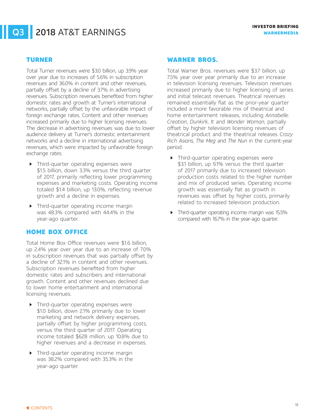#### TURNER

Total Turner revenues were \$3.0 billion, up 3.9% year over year due to increases of 5.6% in subscription revenues and 36.0% in content and other revenues, partially offset by a decline of 3.7% in advertising revenues. Subscription revenues benefited from higher domestic rates and growth at Turner's international networks, partially offset by the unfavorable impact of foreign exchange rates. Content and other revenues increased primarily due to higher licensing revenues. The decrease in advertising revenues was due to lower audience delivery at Turner's domestic entertainment networks and a decline in international advertising revenues, which were impacted by unfavorable foreign exchange rates.

- $\triangleright$  Third-quarter operating expenses were \$1.5 billion, down 3.3% versus the third quarter of 2017, primarily reflecting lower programming expenses and marketing costs. Operating income totaled \$1.4 billion, up 13.0%, reflecting revenue growth and a decline in expenses.
- $\triangleright$  Third-quarter operating income margin was 48.3% compared with 44.4% in the year-ago quarter.

#### HOME BOX OFFICE

Total Home Box Office revenues were \$1.6 billion, up 2.4% year over year due to an increase of 7.0% in subscription revenues that was partially offset by a decline of 32.1% in content and other revenues. Subscription revenues benefited from higher domestic rates and subscribers and international growth. Content and other revenues declined due to lower home entertainment and international licensing revenues.

- $\triangleright$  Third-quarter operating expenses were \$1.0 billion, down 2.1% primarily due to lower marketing and network delivery expenses, partially offset by higher programming costs, versus the third quarter of 2017. Operating income totaled \$628 million, up 10.8% due to higher revenues and a decrease in expenses.
- Third-quarter operating income margin was 38.2% compared with 35.3% in the year-ago quarter.

#### WARNER BROS.

Total Warner Bros. revenues were \$3.7 billion, up 7.5% year over year primarily due to an increase in television licensing revenues. Television revenues increased primarily due to higher licensing of series and initial telecast revenues. Theatrical revenues remained essentially flat as the prior-year quarter included a more favorable mix of theatrical and home entertainment releases, including *Annabelle: Creation*, *Dunkirk*, *It* and *Wonder Woman*, partially offset by higher television licensing revenues of theatrical product and the theatrical releases *Crazy Rich Asians, The Meg* and *The Nun* in the current-year period.

- $\triangleright$  Third-quarter operating expenses were \$3.1 billion, up 9.1% versus the third quarter of 2017 primarily due to increased television production costs related to the higher number and mix of produced series. Operating income growth was essentially flat as growth in revenues was offset by higher costs, primarily related to increased television production.
- $\blacktriangleright$  Third-quarter operating income margin was 15.5% compared with 16.7% in the year-ago quarter.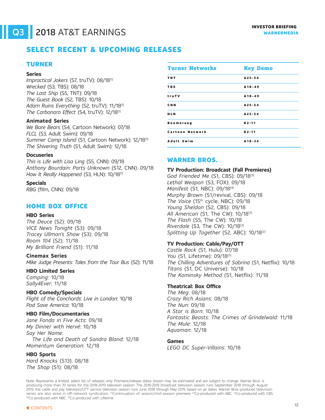#### SELECT RECENT & UPCOMING RELEASES

#### TURNER

#### **Series**

*Impractical Jokers* (S7, truTV): 08/18<sup>(1)</sup> *Wrecked* (S3, TBS): 08/18 *The Last Ship* (S5, TNT): 09/18 *The Guest Book* (S2, TBS): 10/18 *Adam Ruins Everything* (S2, truTV): 11/18(1) *The Carbonaro Effect* (S4, truTV): 12/18(1)

#### **Animated Series**

*We Bare Bears* (S4, Cartoon Network): 07/18 *FLCL* (S3, Adult Swim): 09/18 Summer Camp Island (S1, Cartoon Network): 12/18<sup>(1)</sup> *The Shivering Truth* (S1, Adult Swim): 12/18

#### **Docuseries**

*This is Life with Lisa Ling* (S5, CNN): 09/18 *Anthony Bourdain: Parts Unknown* (S12, CNN): 09/18 *How It Really Happened* (S3, HLN): 10/18(1)

#### **Specials**

*RBG* (film, CNN): 09/18

#### HOME BOX OFFICE

#### **HBO Series**

*The Deuce* (S2): 09/18 *VICE News Tonight* (S3): 09/18 *Tracey Ullman's Show* (S3): 09/18 *Room 104* (S2): 11/18 *My Brilliant Friend* (S1): 11/18

#### **Cinemax Series**

*Mike Judge Presents: Tales from the Tour Bus* (S2): 11/18

#### **HBO Limited Series**

*Camping*: 10/18 *Sally4Ever*: 11/18

#### **HBO Comedy/Specials**

*Flight of the Conchords*: *Live in London*: 10/18 *Pod Save America*: 10/18

#### **HBO Film/Documentaries**

*Jane Fonda in Five Acts*: 09/18 *My Dinner with Hervé*: 10/18 *Say Her Name*: *The Life and Death of Sandra Bland*: 12/18 *Momentum Generation*: 12/18

#### **HBO Sports**

*Hard Knocks* (S13): 08/18 *The Shop* (S1): 08/18

| <b>Turner Networks</b> | <b>Key Demo</b> |
|------------------------|-----------------|
| <b>TNT</b>             | A25-54          |
| <b>TBS</b>             | $A18 - 49$      |
| truTV                  | $A18 - 49$      |
| CNN                    | A25-54          |
| HLN                    | A25-54          |
| <b>Boomerang</b>       | $K2 - 11$       |
| Cartoon Network        | $K2 - 11$       |
| <b>Adult Swim</b>      | A18-34          |

#### WARNER BROS.

#### **TV Production: Broadcast (Fall Premieres)**

*God Friended Me* (S1, CBS): 09/18(3) *Lethal Weapon* (S3, FOX): 09/18 *Manifest* (S1, NBC): 09/18(4) *Murphy Brown* (S1/revival, CBS): 09/18 *The Voice* (15th cycle, NBC): 09/18 *Young Sheldon* (S2, CBS): 09/18 *All American* (S1, The CW): 10/18<sup>(3)</sup> *The Flash* (S5, The CW): 10/18 *Riverdale* (S3, The CW): 10/18(3) *Splitting Up Together* (S2, ABC): 10/18(2)

#### **TV Production: Cable/Pay/OTT**

*Castle Rock* (S1, Hulu): 07/18 *You* (S1, Lifetime): 09/18<sup>(5)</sup> *The Chilling Adventures of Sabrina* (S1, Netflix): 10/18 *Titans* (S1, DC Universe): 10/18 *The Kominsky Method* (S1, Netflix): 11/18

#### **Theatrical: Box Office**

*The Meg*: 08/18 *Crazy Rich Asians*: 08/18 *The Nun*: 09/18 *A Star is Born*: 10/18 *Fantastic Beasts*: *The Crimes of Grindelwald*: 11/18 *The Mule*: 12/18 *Aquaman*: 12/18

#### **Games**

*LEGO DC Super-Villains*: 10/18

Note: Represents a limited, select list of releases only. Premiere/release dates shown may be estimated and are subject to change. Warner Bros. is producing more than 70 series for the 2018-2019 television season. The 2018-2019 broadcast television season runs September 2018 through August 2019; the cable and pay television/OTT service television season runs June 2018 through May 2019, based on air dates. Warner Bros.-produced television series are also aired in off-network syndication. <sup>(1)</sup>Continuation of season/mid-season premiere. <sup>@</sup>Co-produced with ABC. <sup>(3)</sup>Co-produced with CBS. (4)Co-produced with NBC. <sup>(4)</sup>Co-produced with NBC. <sup>(4)</sup>Co-produced wi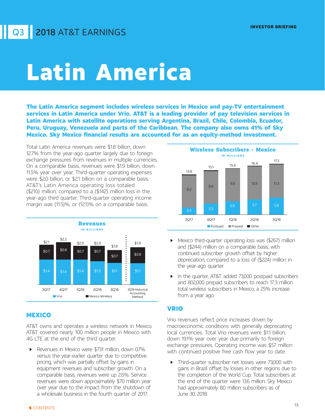## Latin America

The Latin America segment includes wireless services in Mexico and pay-TV entertainment services in Latin America under Vrio. AT&T is a leading provider of pay television services in Latin America with satellite operations serving Argentina, Brazil, Chile, Colombia, Ecuador, Peru, Uruguay, Venezuela and parts of the Caribbean. The company also owns 41% of Sky Mexico. Sky Mexico financial results are accounted for as an equity-method investment.

Total Latin America revenues were \$1.8 billion, down 12.7% from the year-ago quarter largely due to foreign exchange pressures from revenues in multiple currencies. On a comparable basis, revenues were \$1.9 billion, down 11.5% year over year. Third-quarter operating expenses were \$2.0 billion, or \$2.1 billion on a comparable basis. AT&T's Latin America operating loss totaled (\$210) million, compared to a (\$142) million loss in the year-ago third quarter. Third-quarter operating income margin was (11.5)%, or (12.1)% on a comparable basis.



#### **MEXICO**

AT&T owns and operates a wireless network in Mexico. AT&T covered nearly 100 million people in Mexico with 4G LTE at the end of the third quarter.

Revenues in Mexico were \$731 million, down 0.7% versus the year-earlier quarter due to competitive pricing, which was partially offset by gains in equipment revenues and subscriber growth. On a comparable basis, revenues were up 2.6%. Service revenues were down approximately \$70 million year over year due to the impact from the shutdown of a wholesale business in the fourth quarter of 2017.



- Mexico third-quarter operating loss was (\$267) million and (\$244) million on a comparable basis, with continued subscriber growth offset by higher depreciation, compared to a loss of (\$224) million in the year-ago quarter.
- ▶ In the quarter, AT&T added 73,000 postpaid subscribers and 802,000 prepaid subscribers to reach 17.3 million total wireless subscribers in Mexico, a 25% increase from a year ago.

#### VRIO

Vrio revenues reflect price increases driven by macroeconomic conditions with generally depreciating local currencies. Total Vrio revenues were \$1.1 billion, down 19.1% year over year due primarily to foreign exchange pressures. Operating income was \$57 million with continued positive free cash flow year to date.

▶ Third-quarter subscriber net losses were 73,000 with gains in Brazil offset by losses in other regions due to the completion of the World Cup. Total subscribers at the end of the quarter were 13.6 million. Sky Mexico had approximately 8.0 million subscribers as of June 30, 2018.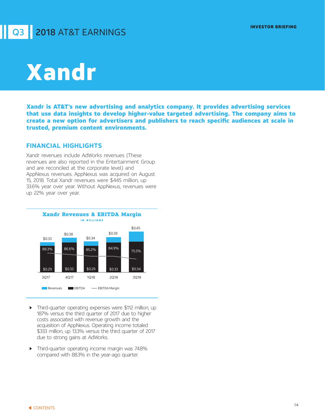## Xandr

Xandr is AT&T's new advertising and analytics company. It provides advertising services that use data insights to develop higher-value targeted advertising. The company aims to create a new option for advertisers and publishers to reach specific audiences at scale in trusted, premium content environments.

#### **FINANCIAL HIGHLIGHTS**

Xandr revenues include AdWorks revenues (These revenues are also reported in the Entertainment Group and are reconciled at the corporate level.) and AppNexus revenues. AppNexus was acquired on August 15, 2018. Total Xandr revenues were \$445 million, up 33.6% year over year. Without AppNexus, revenues were up 22% year over year.



- Third-quarter operating expenses were \$112 million, up 187% versus the third quarter of 2017 due to higher costs associated with revenue growth and the acquisition of AppNexus. Operating income totaled \$333 million, up 13.3% versus the third quarter of 2017 due to strong gains at AdWorks.
- Third-quarter operating income margin was 74.8% compared with 88.3% in the year-ago quarter.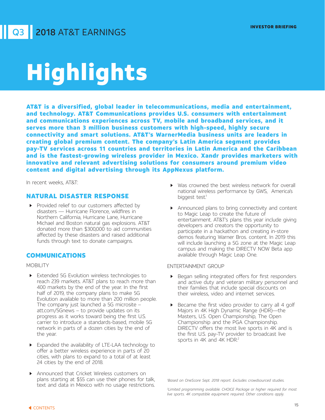# **Highlights**

AT&T is a diversified, global leader in telecommunications, media and entertainment, and technology. AT&T Communications provides U.S. consumers with entertainment and communications experiences across TV, mobile and broadband services, and it serves more than 3 million business customers with high-speed, highly secure connectivity and smart solutions. AT&T's WarnerMedia business units are leaders in creating global premium content. The company's Latin America segment provides pay-TV services across 11 countries and territories in Latin America and the Caribbean and is the fastest-growing wireless provider in Mexico. Xandr provides marketers with innovative and relevant advertising solutions for consumers around premium video content and digital advertising through its AppNexus platform.

In recent weeks, AT&T:

#### NATURAL DISASTER RESPONSE

▶ Provided relief to our customers affected by disasters — Hurricane Florence, wildfires in Northern California, Hurricane Lane, Hurricane Michael and Boston natural gas explosions. AT&T donated more than \$300,000 to aid communities affected by these disasters and raised additional funds through text to donate campaigns.

#### COMMUNICATIONS

#### **MOBILITY**

- ▶ Extended 5G Evolution wireless technologies to reach 239 markets. AT&T plans to reach more than 400 markets by the end of the year. In the first half of 2019, the company plans to make 5G Evolution available to more than 200 million people. The company just launched a 5G microsite – att.com/5Gnews – to provide updates on its progress as it works toward being the first U.S. carrier to introduce a standards-based, mobile 5G network in parts of a dozen cities by the end of the year.
- ▶ Expanded the availability of LTE-LAA technology to offer a better wireless experience in parts of 20 cities, with plans to expand to a total of at least 24 cities by the end of 2018.
- Announced that Cricket Wireless customers on plans starting at \$55 can use their phones for talk, text and data in Mexico with no usage restrictions.
- $\triangleright$  Was crowned the best wireless network for overall national wireless performance by GWS, America's biggest test.<sup>1</sup>
- Announced plans to bring connectivity and content to Magic Leap to create the future of entertainment. AT&T's plans this year include giving developers and creators the opportunity to participate in a hackathon and creating in-store demos featuring Warner Bros. content. In 2019 this will include launching a 5G zone at the Magic Leap campus and making the DIRECTV NOW Beta app available through Magic Leap One.

#### ENTERTAINMENT GROUP

- ▶ Began selling integrated offers for first responders and active duty and veteran military personnel and their families that include special discounts on their wireless, video and internet services.
- $\triangleright$  Became the first video provider to carry all 4 golf Majors in 4K High Dynamic Range (HDR)—the Masters, U.S. Open Championship, The Open Championship and the PGA Championship. DIRECTV offers the most live sports in 4K and is the first U.S. pay-TV provider to broadcast live sports in 4K and 4K HDR.<sup>2</sup>

*1 Based on OneScore Sept. 2018 report. Excludes crowdsourced studies.*

*2 Limited programming available. CHOICE Package or higher required for most live sports. 4K compatible equipment required. Other conditions apply.*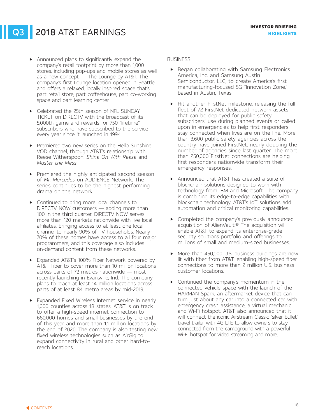- Announced plans to significantly expand the company's retail footprint by more than 1,000 stores, including pop-ups and mobile stores as well as a new concept — The Lounge by AT&T. The company's first Lounge location opened in Seattle and offers a relaxed, locally inspired space that's part retail store, part coffeehouse, part co-working space and part learning center.
- Celebrated the 25th season of NFL SUNDAY TICKET on DIRECTV with the broadcast of its 5,000th game and rewards for 750 "lifetime" subscribers who have subscribed to the service every year since it launched in 1994.
- Premiered two new series on the Hello Sunshine VOD channel, through AT&T's relationship with Reese Witherspoon: *Shine On With Reese* and *Master the Mess*.
- $\blacktriangleright$  Premiered the highly anticipated second season of *Mr. Mercedes* on AUDIENCE Network. The series continues to be the highest-performing drama on the network.
- ▶ Continued to bring more local channels to DIRECTV NOW customers — adding more than 100 in the third quarter. DIRECTV NOW serves more than 120 markets nationwide with live local affiliates, bringing access to at least one local channel to nearly 90% of TV households. Nearly 70% of these homes have access to all four major programmers, and this coverage also includes on-demand content from these networks.
- Expanded AT&T's 100% Fiber Network powered by AT&T Fiber to cover more than 10 million locations across parts of 72 metros nationwide — most recently launching in Evansville, Ind. The company plans to reach at least 14 million locations across parts of at least 84 metro areas by mid-2019.
- Expanded Fixed Wireless Internet service in nearly 1,000 counties across 18 states. AT&T is on track to offer a high-speed internet connection to 660,000 homes and small businesses by the end of this year and more than 1.1 million locations by the end of 2020. The company is also testing new fixed wireless technologies such as AirGig to expand connectivity in rural and other hard-toreach locations.

#### BUSINESS

- ▶ Began collaborating with Samsung Electronics America, Inc. and Samsung Austin Semiconductor, LLC, to create America's first manufacturing-focused 5G "Innovation Zone," based in Austin, Texas.
- ▶ Hit another FirstNet milestone, releasing the full fleet of 72 FirstNet-dedicated network assets that can be deployed for public safety subscribers' use during planned events or called upon in emergencies to help first responders stay connected when lives are on the line. More than 3,600 public safety agencies across the country have joined FirstNet, nearly doubling the number of agencies since last quarter. The more than 250,000 FirstNet connections are helping first responders nationwide transform their emergency responses.
- ▶ Announced that AT&T has created a suite of blockchain solutions designed to work with technology from IBM and Microsoft. The company is combining its edge-to-edge capabilities with blockchain technology. AT&T's IoT solutions add automation and critical monitoring capabilities.
- ▶ Completed the company's previously announced acquisition of AlienVault.® The acquisition will enable AT&T to expand its enterprise-grade security solutions portfolio and offerings to millions of small and medium-sized businesses.
- More than 450,000 U.S. business buildings are now lit with fiber from AT&T, enabling high-speed fiber connections to more than 2 million U.S. business customer locations.
- ▶ Continued the company's momentum in the connected vehicle space with the launch of the HARMAN Spark, an aftermarket device that can turn just about any car into a connected car with emergency crash assistance, a virtual mechanic and Wi-Fi hotspot. AT&T also announced that it will connect the iconic Airstream Classic "silver bullet" travel trailer with 4G LTE to allow owners to stay connected from the campground with a powerful Wi-Fi hotspot for video streaming and more.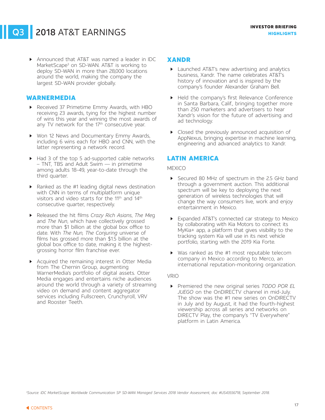▶ Announced that AT&T was named a leader in IDC MarketScape<sup>3</sup> on SD-WAN. AT&T is working to deploy SD-WAN in more than 28,000 locations around the world, making the company the largest SD-WAN provider globally.

#### WARNERMEDIA

- ▶ Received 37 Primetime Emmy Awards, with HBO receiving 23 awards, tying for the highest number of wins this year and winning the most awards of any TV network for the 17<sup>th</sup> consecutive year.
- Won 12 News and Documentary Emmy Awards, including 6 wins each for HBO and CNN, with the latter representing a network record.
- ▶ Had 3 of the top 5 ad-supported cable networks – TNT, TBS and Adult Swim — in primetime among adults 18-49, year-to-date through the third quarter.
- $\blacktriangleright$  Ranked as the #1 leading digital news destination with CNN in terms of multiplatform unique visitors and video starts for the 11<sup>th</sup> and 14<sup>th</sup> consecutive quarter, respectively.
- Nj Released the hit films *Crazy Rich Asians*, *The Me*g and *The Nun*, which have collectively grossed more than \$1 billion at the global box office to date. With *The Nun, The Conjuring* universe of films has grossed more than \$1.5 billion at the global box office to date, making it the highestgrossing horror film franchise ever.
- Acquired the remaining interest in Otter Media from The Chernin Group, augmenting WarnerMedia's portfolio of digital assets. Otter Media engages and entertains niche audiences around the world through a variety of streaming video on demand and content aggregator services including Fullscreen, Crunchyroll, VRV and Rooster Teeth.

#### XANDR

- ▶ Launched AT&T's new advertising and analytics business, Xandr. The name celebrates AT&T's history of innovation and is inspired by the company's founder Alexander Graham Bell.
- ▶ Held the company's first Relevance Conference in Santa Barbara, Calif., bringing together more than 250 marketers and advertisers to hear Xandr's vision for the future of advertising and ad technology.
- $\triangleright$  Closed the previously announced acquisition of AppNexus, bringing expertise in machine learning, engineering and advanced analytics to Xandr.

#### LATIN AMERICA

#### **MEXICO**

- Secured 80 MHz of spectrum in the 2.5 GHz band through a government auction. This additional spectrum will be key to deploying the next generation of wireless technologies that will change the way consumers live, work and enjoy entertainment in Mexico.
- ▶ Expanded AT&T's connected car strategy to Mexico by collaborating with Kia Motors to connect its MyKia+ app, a platform that gives visibility to the tracking system Kia will use in its next vehicle portfolio, starting with the 2019 Kia Forte.
- $\triangleright$  Was ranked as the #1 most reputable telecom company in Mexico according to Merco, an international reputation-monitoring organization.

#### VRIO

▶ Premiered the new original series *TODO POR EL JUEGO* on the OnDIRECTV channel in mid-July. The show was the #1 new series on OnDIRECTV in July and by August, it had the fourth-highest viewership across all series and networks on DIRECTV Play, the company's "TV Everywhere" platform in Latin America.

*3 Source: IDC MarketScape: Worldwide Communication SP SD-WAN Managed Services 2018 Vendor Assessment, doc #US43556718, September 2018.*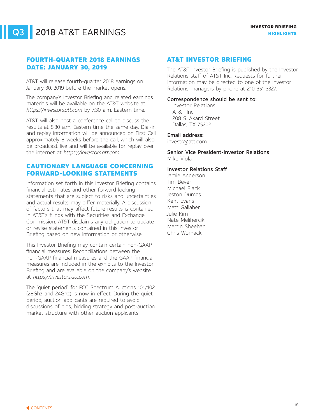#### FOURTH-QUARTER 2018 EARNINGS DATE: JANUARY 30, 2019

AT&T will release fourth-quarter 2018 earnings on January 30, 2019 before the market opens.

The company's Investor Briefing and related earnings materials will be available on the AT&T website at *https://investors.att.com* by 7:30 a.m. Eastern time.

AT&T will also host a conference call to discuss the results at 8:30 a.m. Eastern time the same day. Dial-in and replay information will be announced on First Call approximately 8 weeks before the call, which will also be broadcast live and will be available for replay over the internet at *https://investors.att.com.*

#### CAUTIONARY LANGUAGE CONCERNING FORWARD-LOOKING STATEMENTS

Information set forth in this Investor Briefing contains financial estimates and other forward-looking statements that are subject to risks and uncertainties, and actual results may differ materially. A discussion of factors that may affect future results is contained in AT&T's filings with the Securities and Exchange Commission. AT&T disclaims any obligation to update or revise statements contained in this Investor Briefing based on new information or otherwise.

This Investor Briefing may contain certain non-GAAP financial measures. Reconciliations between the non-GAAP financial measures and the GAAP financial measures are included in the exhibits to the Investor Briefing and are available on the company's website at *https://investors.att.com*.

The "quiet period" for FCC Spectrum Auctions 101/102 (28Ghz and 24Ghz) is now in effect. During the quiet period, auction applicants are required to avoid discussions of bids, bidding strategy and post-auction market structure with other auction applicants.

#### AT&T INVESTOR BRIEFING

The AT&T Investor Briefing is published by the Investor Relations staff of AT&T Inc. Requests for further information may be directed to one of the Investor Relations managers by phone at 210-351-3327.

#### Correspondence should be sent to:

 Investor Relations AT&T Inc. 208 S. Akard Street Dallas, TX 75202

#### Email address:

investr@att.com

Senior Vice President-Investor Relations Mike Viola

#### Investor Relations Staff

Jamie Anderson Tim Bever Michael Black Jeston Dumas Kent Evans Matt Gallaher Julie Kim Nate Melihercik Martin Sheehan Chris Womack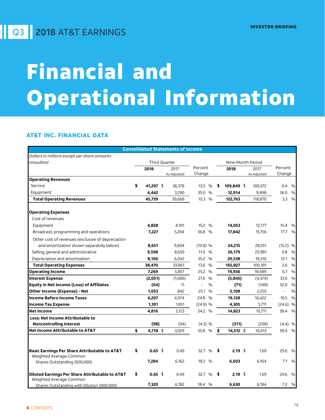## Binancial and Solutions Financial and Operational Information

#### AT&T INC. FINANCIAL DATA

|                                                                            | <b>Consolidated Statements of Income</b> |             |                                  |                   |             |                |      |
|----------------------------------------------------------------------------|------------------------------------------|-------------|----------------------------------|-------------------|-------------|----------------|------|
| Dollars in millions except per share amounts                               |                                          |             |                                  |                   |             |                |      |
| <b>Unaudited</b>                                                           | <b>Third Quarter</b>                     |             |                                  | Nine-Month Period |             |                |      |
|                                                                            | 2018                                     | 2017        | Percent                          | 2018              | 2017        | Percent        |      |
|                                                                            |                                          | As Adjusted | Change                           |                   | As Adjusted | Change         |      |
| <b>Operating Revenues</b>                                                  |                                          |             |                                  |                   |             |                |      |
| Service                                                                    | \$<br>41,297 \$                          | 36,378      | 13.5<br>$\%$                     | \$<br>109,849 \$  | 109,372     | 0.4            | %    |
| Equipment                                                                  | 4,442                                    | 3,290       | 35.0<br>$\frac{0}{0}$            | 12,914            | 9,498       | 36.0           | %    |
| <b>Total Operating Revenues</b>                                            | 45,739                                   | 39,668      | 15.3<br>$\frac{0}{0}$            | 122,763           | 118,870     | 3.3            | %    |
| <b>Operating Expenses</b>                                                  |                                          |             |                                  |                   |             |                |      |
| Cost of revenues                                                           |                                          |             |                                  |                   |             |                |      |
| Equipment                                                                  | 4,828                                    | 4,191       | 15.2 %                           | 14,053            | 12,177      | 15.4           | %    |
| Broadcast, programming and operations                                      | 7,227                                    | 5,284       | 36.8 %                           | 17,842            | 15,156      | 17.7           | $\%$ |
| Other cost of revenues (exclusive of depreciation                          |                                          |             |                                  |                   |             |                |      |
| and amortization shown separately below)                                   | 8,651                                    | 9,694       | $(10.8)$ %                       | 24,215            | 28,551      | $(15.2)$ %     |      |
| Selling, general and administrative                                        | 9,598                                    | 8,650       | 11.0<br>%                        | 26,179            | 25,981      | 0.8            | %    |
| Depreciation and amortization                                              | 8,166                                    | 6,042       | 35.2<br>$\%$                     | 20,538            | 18,316      | 12.1           | %    |
| <b>Total Operating Expenses</b>                                            | 38,470                                   | 33,861      | 13.6<br>$\frac{0}{0}$            | 102,827           | 100,181     | 2.6            | %    |
| <b>Operating Income</b>                                                    | 7,269                                    | 5,807       | 25.2<br>$\%$                     | 19,936            | 18,689      | 6.7            | %    |
| <b>Interest Expense</b>                                                    | (2,051)                                  | (1,686)     | 21.6<br>$\%$                     | (5,845)           | (4,374)     | 33.6           | %    |
| <b>Equity in Net Income (Loss) of Affiliates</b>                           | (64)                                     | 11          | $\%$<br>$\overline{\phantom{a}}$ | (71)              | (148)       | 52.0           | %    |
| Other Income (Expense) - Net                                               | 1,053                                    | 842         | 25.1<br>%                        | 5,108             | 2,255       | $\overline{a}$ | $\%$ |
| <b>Income Before Income Taxes</b>                                          | 6,207                                    | 4,974       | 24.8<br>$\%$                     | 19,128            | 16,422      | 16.5           | %    |
| <b>Income Tax Expense</b>                                                  | 1,391                                    | 1,851       | $(24.9)$ %                       | 4,305             | 5,711       | $(24.6)$ %     |      |
| <b>Net Income</b>                                                          | 4,816                                    | 3,123       | 54.2 %                           | 14,823            | 10,711      | 38.4           | %    |
| Less: Net Income Attributable to                                           |                                          |             |                                  |                   |             |                |      |
| <b>Noncontrolling Interest</b>                                             | (98)                                     | (94)        | $(4.3)$ %                        | (311)             | (298)       | $(4.4)$ %      |      |
| <b>Net Income Attributable to AT&amp;T</b>                                 | \$<br>4,718 \$                           | 3,029       | 55.8 %                           | \$<br>14,512 $$$  | 10,413      | 39.4           | %    |
|                                                                            |                                          |             |                                  |                   |             |                |      |
| Basic Earnings Per Share Attributable to AT&T<br>Weighted Average Common   | \$<br>0.65~\$                            | 0.49        | $\%$<br>32.7                     | \$<br>$2.19$ \$   | 1.69        | 29.6           | $\%$ |
| Shares Outstanding (000,000)                                               | 7,284                                    | 6,162       | 18.2 %                           | 6,603             | 6,164       | 7.1            | %    |
| Diluted Earnings Per Share Attributable to AT&T<br>Weighted Average Common | \$<br>$0.65$ \$                          | 0.49        | 32.7<br>$\%$                     | \$<br>2.19 \$     | 1.69        | 29.6           | %    |
| Shares Outstanding with Dilution (000,000)                                 | 7,320                                    | 6.182       | 18.4 %                           | 6,630             | 6.184       | 7.2            | $\%$ |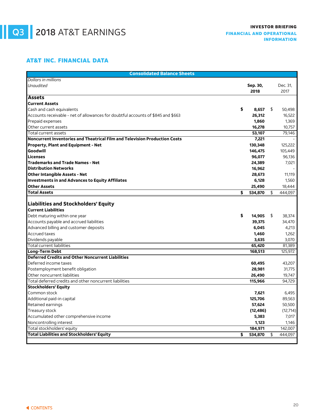

#### **Financial Data** AT&T INC. FINANCIAL DATA

| <b>Consolidated Balance Sheets</b>                                               |               |               |
|----------------------------------------------------------------------------------|---------------|---------------|
| Dollars in millions                                                              |               |               |
| <b>Unaudited</b>                                                                 | Sep. 30,      | Dec. 31,      |
|                                                                                  | 2018          | 2017          |
| <b>Assets</b>                                                                    |               |               |
| <b>Current Assets</b>                                                            |               |               |
| Cash and cash equivalents                                                        | \$<br>8,657   | \$<br>50,498  |
| Accounts receivable - net of allowances for doubtful accounts of \$845 and \$663 | 26,312        | 16,522        |
| Prepaid expenses                                                                 | 1,860         | 1,369         |
| Other current assets                                                             | 16,278        | 10.757        |
| Total current assets                                                             | 53,107        | 79,146        |
| Noncurrent Inventories and Theatrical Film and Television Production Costs       | 7,221         |               |
| <b>Property, Plant and Equipment - Net</b>                                       | 130,348       | 125,222       |
| Goodwill                                                                         | 146,475       | 105,449       |
| Licenses                                                                         | 96,077        | 96,136        |
| Trademarks and Trade Names - Net                                                 | 24,389        | 7,021         |
| <b>Distribution Networks</b>                                                     | 16,962        |               |
| <b>Other Intangible Assets - Net</b>                                             | 28,673        | 11,119        |
| <b>Investments in and Advances to Equity Affiliates</b>                          | 6,128         | 1,560         |
| <b>Other Assets</b>                                                              | 25,490        | 18,444        |
| <b>Total Assets</b>                                                              | \$<br>534,870 | \$<br>444,097 |
|                                                                                  |               |               |
| Liabilities and Stockholders' Equity                                             |               |               |
| <b>Current Liabilities</b>                                                       |               |               |
| Debt maturing within one year                                                    | \$<br>14,905  | \$<br>38,374  |
| Accounts payable and accrued liabilities                                         | 39,375        | 34,470        |
| Advanced billing and customer deposits                                           | 6,045         | 4,213         |
| Accrued taxes                                                                    | 1,460         | 1,262         |
| Dividends payable                                                                | 3,635         | 3,070         |
| Total current liabilities                                                        | 65,420        | 81,389        |
| <b>Long-Term Debt</b>                                                            | 168,513       | 125,972       |
| <b>Deferred Credits and Other Noncurrent Liabilities</b>                         |               |               |
| Deferred income taxes                                                            | 60,495        | 43,207        |
| Postemployment benefit obligation                                                | 28,981        | 31,775        |
| Other noncurrent liabilities                                                     | 26,490        | 19,747        |
| Total deferred credits and other noncurrent liabilities                          | 115,966       | 94,729        |
| <b>Stockholders' Equity</b>                                                      |               |               |
| Common stock                                                                     | 7,621         | 6,495         |
| Additional paid-in capital                                                       | 125,706       | 89,563        |
| Retained earnings                                                                | 57,624        | 50,500        |
| Treasury stock                                                                   | (12, 486)     | (12, 714)     |
| Accumulated other comprehensive income                                           | 5,383         | 7,017         |
| Noncontrolling interest                                                          | 1,123         | 1,146         |
| Total stockholders' equity                                                       | 184,971       | 142,007       |
| <b>Total Liabilities and Stockholders' Equity</b>                                | \$<br>534,870 | \$<br>444,097 |
|                                                                                  |               |               |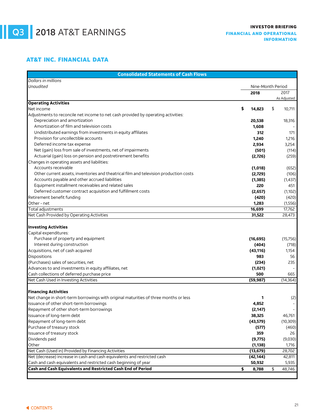

### **Financial Data** AT&T INC. FINANCIAL DATA

| <b>Consolidated Statements of Cash Flows</b>                                          |              |                   |
|---------------------------------------------------------------------------------------|--------------|-------------------|
| Dollars in millions                                                                   |              |                   |
| Unaudited                                                                             |              | Nine-Month Period |
|                                                                                       | 2018         | 2017              |
| <b>Operating Activities</b>                                                           |              | As Adjusted       |
| Net income                                                                            | \$<br>14,823 | \$<br>10,711      |
| Adjustments to reconcile net income to net cash provided by operating activities:     |              |                   |
| Depreciation and amortization                                                         | 20,538       | 18,316            |
| Amortization of film and television costs                                             | 1,608        |                   |
| Undistributed earnings from investments in equity affiliates                          | 312          | 171               |
| Provision for uncollectible accounts                                                  | 1,240        | 1,216             |
| Deferred income tax expense                                                           | 2,934        | 3,254             |
| Net (gain) loss from sale of investments, net of impairments                          | (501)        | (114)             |
| Actuarial (gain) loss on pension and postretirement benefits                          | (2,726)      | (259)             |
| Changes in operating assets and liabilities:                                          |              |                   |
| Accounts receivable                                                                   | (1,018)      | (652)             |
| Other current assets, inventories and theatrical film and television production costs | (2,729)      | (106)             |
| Accounts payable and other accrued liabilities                                        | (1, 385)     | (1, 437)          |
| Equipment installment receivables and related sales                                   | 220          | 451               |
| Deferred customer contract acquisition and fulfillment costs                          | (2,657)      | (1,102)           |
| Retirement benefit funding                                                            | (420)        | (420)             |
| Other - net                                                                           | 1,283        | (1,556)           |
| Total adjustments                                                                     | 16,699       | 17,762            |
| Net Cash Provided by Operating Activities                                             | 31,522       | 28,473            |
| <b>Investing Activities</b><br>Capital expenditures:                                  |              |                   |
| Purchase of property and equipment                                                    | (16, 695)    | (15,756)          |
| Interest during construction                                                          | (404)        | (718)             |
| Acquisitions, net of cash acquired                                                    | (43, 116)    | 1,154             |
| <b>Dispositions</b>                                                                   | 983          | 56                |
| (Purchases) sales of securities, net                                                  | (234)        | 235               |
| Advances to and investments in equity affiliates, net                                 | (1,021)      |                   |
| Cash collections of deferred purchase price                                           | 500          | 665<br>(14, 364)  |
| Net Cash Used in Investing Activities                                                 | (59, 987)    |                   |
| <b>Financing Activities</b>                                                           |              |                   |
| Net change in short-term borrowings with original maturities of three months or less  | 1            | (2)               |
| Issuance of other short-term borrowings                                               | 4,852        |                   |
| Repayment of other short-term borrowings                                              | (2, 147)     |                   |
| Issuance of long-term debt                                                            | 38,325       | 46,761            |
| Repayment of long-term debt                                                           | (43, 579)    | (10, 309)         |
| Purchase of treasury stock                                                            | (577)        | (460)             |
| Issuance of treasury stock                                                            | 359          | 26                |
| Dividends paid                                                                        | (9, 775)     | (9,030)           |
| Other                                                                                 | (1, 138)     | 1,716             |
| Net Cash (Used in) Provided by Financing Activities                                   | (13, 679)    | 28,702            |
| Net (decrease) increase in cash and cash equivalents and restricted cash              | (42, 144)    | 42,811            |
| Cash and cash equivalents and restricted cash beginning of year                       | 50,932       | 5,935             |
| Cash and Cash Equivalents and Restricted Cash End of Period                           | \$<br>8,788  | \$<br>48,746      |
|                                                                                       |              |                   |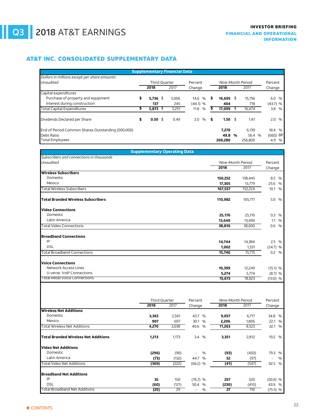#### AT&T INC. CONSOLIDATED SUPPLEMENTARY DATA **Consolidated Supplementary Data**

|                                                   |    |                      |  | <b>Supplementary Financial Data</b> |                               |                 |                   |             |
|---------------------------------------------------|----|----------------------|--|-------------------------------------|-------------------------------|-----------------|-------------------|-------------|
| Dollars in millions except per share amounts      |    |                      |  |                                     |                               |                 |                   |             |
| Unaudited                                         |    | <b>Third Quarter</b> |  |                                     | Percent                       |                 | Nine-Month Period | Percent     |
|                                                   |    | 2018                 |  | 2017                                | Change                        | 2018            | 2017              | Change      |
| Capital expenditures                              |    |                      |  |                                     |                               |                 |                   |             |
| Purchase of property and equipment                | \$ | 5,736 $$$            |  | 5,006                               | 14.6 %                        | \$<br>16,695 \$ | 15,756            | 6.0 %       |
| Interest during construction                      |    | 137                  |  | 245                                 | $(44.1)$ %                    | 404             | 718               | $(43.7)$ %  |
| <b>Total Capital Expenditures</b>                 | \$ | 5,873 \$             |  | 5,251                               | 11.8 %                        | \$<br>17,099 \$ | 16,474            | 3.8 %       |
| Dividends Declared per Share                      | \$ | $0.50~\frac{6}{3}$   |  | 0.49                                | 2.0%                          | \$<br>1.50 $$$  | 1.47              | 2.0 %       |
| End of Period Common Shares Outstanding (000,000) |    |                      |  |                                     |                               | 7,270           | 6,139             | 18.4 %      |
| Debt Ratio                                        |    |                      |  |                                     |                               | 49.8 %          | 56.4 %            | $(660)$ BP  |
| <b>Total Employees</b>                            |    |                      |  |                                     |                               | 269,280         | 256,800           | 4.9 %       |
|                                                   |    |                      |  |                                     |                               |                 |                   |             |
| Subscribers and connections in thousands          |    |                      |  | <b>Supplementary Operating Data</b> |                               |                 |                   |             |
| Unaudited                                         |    |                      |  |                                     |                               |                 | Nine-Month Period | Percent     |
|                                                   |    |                      |  |                                     |                               | 2018            | 2017              | Change      |
| <b>Wireless Subscribers</b>                       |    |                      |  |                                     |                               |                 |                   |             |
| Domestic                                          |    |                      |  |                                     |                               | 150,252         | 138,445           | 8.5 %       |
| Mexico                                            |    |                      |  |                                     |                               | 17,305          | 13,779            | 25.6 %      |
| <b>Total Wireless Subscribers</b>                 |    |                      |  |                                     |                               | 167,557         | 152,224           | 10.1 %      |
| <b>Total Branded Wireless Subscribers</b>         |    |                      |  |                                     |                               | 110,982         | 105,717           | 5.0 %       |
| <b>Video Connections</b>                          |    |                      |  |                                     |                               |                 |                   |             |
| Domestic                                          |    |                      |  |                                     |                               | 25,176          | 25,110            | 0.3 %       |
| Latin America                                     |    |                      |  |                                     |                               | 13,640          | 13,490            | 1.1<br>$\%$ |
| <b>Total Video Connections</b>                    |    |                      |  |                                     |                               | 38,816          | 38,600            | 0.6 %       |
|                                                   |    |                      |  |                                     |                               |                 |                   |             |
| <b>Broadband Connections</b>                      |    |                      |  |                                     |                               |                 |                   |             |
| IP                                                |    |                      |  |                                     |                               | 14,744          | 14,384            | 2.5 %       |
| <b>DSL</b>                                        |    |                      |  |                                     |                               | 1,002           | 1,331             | $(24.7)$ %  |
| <b>Total Broadband Connections</b>                |    |                      |  |                                     |                               | 15,746          | 15,715            | 0.2 %       |
| <b>Voice Connections</b>                          |    |                      |  |                                     |                               |                 |                   |             |
| Network Access Lines                              |    |                      |  |                                     |                               | 10,399          | 12,249            | $(15.1)$ %  |
| U-verse VoIP Connections                          |    |                      |  |                                     |                               | 5,274           | 5,774             | $(8.7)$ %   |
| <b>Total Retail Voice Connections</b>             |    |                      |  |                                     |                               | 15.673          | 18,023            | $(13.0)$ %  |
|                                                   |    |                      |  |                                     |                               |                 |                   |             |
|                                                   |    | <b>Third Quarter</b> |  |                                     | Percent                       |                 | Nine-Month Period | Percent     |
|                                                   |    | 2018                 |  | 2017                                | Change                        | 2018            | 2017              | Change      |
| <b>Wireless Net Additions</b>                     |    |                      |  |                                     |                               |                 |                   |             |
| Domestic                                          |    | 3,363                |  | 2,341                               | 43.7 %                        | 9,057           | 6,717             | 34.8 %      |
| Mexico                                            |    | 907                  |  | 697                                 | 30.1 %                        | 2,206           | 1,806             | 22.1 %      |
| <b>Total Wireless Net Additions</b>               |    | 4,270                |  | 3,038                               | 40.6 %                        | 11,263          | 8,523             | 32.1 %      |
| <b>Total Branded Wireless Net Additions</b>       |    | 1,213                |  | 1,173                               | 3.4 %                         | 3,351           | 2,812             | 19.2 %      |
| <b>Video Net Additions</b>                        |    |                      |  |                                     |                               |                 |                   |             |
| Domestic                                          |    | (296)                |  | (90)                                | %<br>$\overline{\phantom{a}}$ | (93)            | (450)             | 79.3 %      |
| Latin America                                     |    | (73)                 |  | (132)                               | 44.7 %                        | 52              | (97)              | ÷,<br>%     |
| Total Video Net Additions                         |    | (369)                |  | (222)                               | $(66.2)$ %                    | (41)            | (547)             | 92.5 %      |
| <b>Broadband Net Additions</b>                    |    |                      |  |                                     |                               |                 |                   |             |
| IP                                                |    | 35                   |  | 150                                 | $(76.7)$ %                    | 257             | 520               | $(50.6)$ %  |
|                                                   |    |                      |  |                                     |                               |                 |                   |             |
| <b>DSL</b>                                        |    | (60)                 |  | (121)                               | 50.4 %                        | (230)           | (410)             | 43.9 %      |

**Supplementary Financial Data**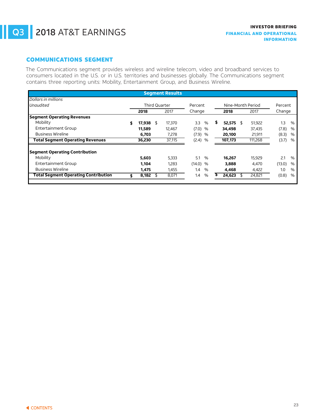### **COMMUNICATIONS SEGMENT** COMMUNICATIONS SEGMENT

The Communications segment provides wireless and wireline telecom, video and broadband services to consumers located in the U.S. or in U.S. territories and businesses globally. The Communications segment contains three reporting units: Mobility, Entertainment Group, and Business Wireline.

| <b>Segment Results</b>                      |  |        |     |                      |            |      |    |         |    |                   |         |      |
|---------------------------------------------|--|--------|-----|----------------------|------------|------|----|---------|----|-------------------|---------|------|
| Dollars in millions                         |  |        |     |                      |            |      |    |         |    |                   |         |      |
| Unaudited                                   |  |        |     | <b>Third Quarter</b> | Percent    |      |    |         |    | Nine-Month Period | Percent |      |
|                                             |  | 2018   |     | 2017                 | Change     |      |    | 2018    |    | 2017              | Change  |      |
| <b>Segment Operating Revenues</b>           |  |        |     |                      |            |      |    |         |    |                   |         |      |
| Mobility                                    |  | 17,938 | -\$ | 17.370               | 3.3        | $\%$ | \$ | 52,575  | \$ | 51,922            | 1.3     | $\%$ |
| <b>Entertainment Group</b>                  |  | 11,589 |     | 12,467               | (7.0)      | %    |    | 34,498  |    | 37,435            | (7.8)   | %    |
| <b>Business Wireline</b>                    |  | 6,703  |     | 7,278                | (7.9)      | %    |    | 20,100  |    | 21,911            | (8.3)   | %    |
| <b>Total Segment Operating Revenues</b>     |  | 36,230 |     | 37,115               | (2.4)      | %    |    | 107,173 |    | 111,268           | (3.7)   | %    |
| <b>Segment Operating Contribution</b>       |  |        |     |                      |            |      |    |         |    |                   |         |      |
| Mobility                                    |  | 5,603  |     | 5,333                | 5.1        | $\%$ |    | 16,267  |    | 15,929            | 2.1     | $\%$ |
| Entertainment Group                         |  | 1,104  |     | 1,283                | $(14.0)$ % |      |    | 3,888   |    | 4,470             | (13.0)  | %    |
| <b>Business Wireline</b>                    |  | 1.475  |     | 1,455                | 1.4        | $\%$ |    | 4,468   |    | 4,422             | 1.0     | $\%$ |
| <b>Total Segment Operating Contribution</b> |  | 8,182  |     | 8,071                | 1.4        | %    |    | 24,623  |    | 24,821            | (0.8)   | $\%$ |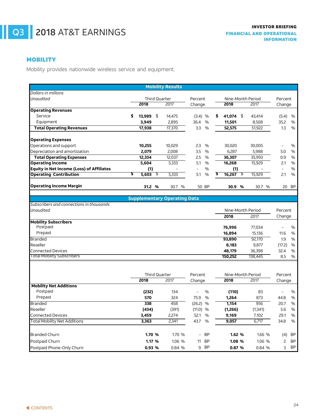#### **Mobility** MOBILITY

Mobility provides nationwide wireless service and equipment.

|                                                  |                        | <b>Mobility Results</b>             |                       |              |                   |                          |               |
|--------------------------------------------------|------------------------|-------------------------------------|-----------------------|--------------|-------------------|--------------------------|---------------|
| Dollars in millions                              |                        |                                     |                       |              |                   |                          |               |
| <b>Unaudited</b>                                 | Third Quarter          |                                     | Percent               |              | Nine-Month Period | Percent                  |               |
|                                                  | 2018                   | 2017                                | Change                | 2018         | 2017              | Change                   |               |
| <b>Operating Revenues</b>                        |                        |                                     |                       |              |                   |                          |               |
| Service<br>\$                                    | 13,989<br>\$           | 14,475                              | %<br>(3.4)            | 41,074<br>\$ | \$<br>43,414      | (5.4)                    | $\frac{0}{0}$ |
| Equipment                                        | 3.949                  | 2,895                               | $\frac{0}{0}$<br>36.4 | 11,501       | 8,508             | 35.2                     | $\frac{0}{0}$ |
| <b>Total Operating Revenues</b>                  | 17,938                 | 17,370                              | 3.3<br>$\frac{0}{0}$  | 52,575       | 51,922            | 1.3                      | $\frac{0}{0}$ |
| <b>Operating Expenses</b>                        |                        |                                     |                       |              |                   |                          |               |
| Operations and support                           | 10,255                 | 10,029                              | $\%$<br>2.3           | 30,020       | 30,005            | $\overline{\phantom{0}}$ | %             |
| Depreciation and amortization                    | 2,079                  | 2,008                               | 3.5<br>$\frac{0}{0}$  | 6.287        | 5,988             | 5.0                      | $\frac{0}{0}$ |
| <b>Total Operating Expenses</b>                  | 12,334                 | 12,037                              | 2.5<br>$\frac{0}{0}$  | 36,307       | 35,993            | 0.9                      | $\%$          |
| <b>Operating Income</b>                          | 5,604                  | 5,333                               | 5.1<br>$\%$           | 16,268       | 15,929            | 2.1                      | $\%$          |
| <b>Equity in Net Income (Loss) of Affiliates</b> | (1)                    |                                     | $\frac{0}{0}$         |              | (1)               |                          | $\%$          |
| <b>Operating Contribution</b><br>Ŧ               | $\mathcal{P}$<br>5,603 | 5,333                               | $\frac{0}{0}$<br>5.1  | 16,267<br>¥. | 15,929<br>\$      | 2.1                      | $\frac{0}{0}$ |
| <b>Operating Income Margin</b>                   | 31.2 %                 | 30.7 %                              | 50 BP                 | 30.9         | - %<br>30.7 %     |                          | 20 BP         |
|                                                  |                        | <b>Supplementary Operating Data</b> |                       |              |                   |                          |               |
| Subscribers and connections in thousands         |                        |                                     |                       |              |                   |                          |               |
| <b>Unaudited</b>                                 |                        |                                     |                       |              | Nine-Month Period | Percent                  |               |
|                                                  |                        |                                     |                       | 2018         | 2017              | Change                   |               |
| <b>Mobility Subscribers</b>                      |                        |                                     |                       |              |                   |                          |               |
| Postpaid                                         |                        |                                     |                       | 76,996       | 77,034            |                          | $\%$          |
| Prepaid                                          |                        |                                     |                       | 16,894       | 15,136            | 11.6                     | $\%$          |
| <b>Branded</b>                                   |                        |                                     |                       | 93,890       | 92,170            | 1.9                      | $\frac{0}{0}$ |
| Reseller                                         |                        |                                     |                       | 8,183        | 9,877             | (17.2)                   | $\%$          |
| <b>Connected Devices</b>                         |                        |                                     |                       | 48,179       | 36,398            | 32.4                     | $\%$          |
| <b>Total Mobility Subscribers</b>                |                        |                                     |                       | 150,252      | 138,445           | 8.5                      | $\%$          |
|                                                  |                        |                                     |                       |              |                   |                          |               |
|                                                  | <b>Third Quarter</b>   |                                     | Percent               |              | Nine-Month Period | Percent                  |               |
|                                                  | 2018                   | 2017                                | Change                | 2018         | 2017              | Change                   |               |

|                                     | 2018   | 2017   | Change                   |           | 2018    | 2017     | Change                   |           |
|-------------------------------------|--------|--------|--------------------------|-----------|---------|----------|--------------------------|-----------|
| <b>Mobility Net Additions</b>       |        |        |                          |           |         |          |                          |           |
| Postpaid                            | (232)  | 134    | $\overline{\phantom{0}}$ | $\%$      | (110)   | 83       | $\overline{\phantom{0}}$ | %         |
| Prepaid                             | 570    | 324    | 75.9                     | $\%$      | 1.264   | 873      | 44.8                     | $\%$      |
| <b>Branded</b>                      | 338    | 458    | (26.2)                   | %         | 1,154   | 956      | 20.7                     | $\%$      |
| Reseller                            | (434)  | (391)  | (11.0)                   | %         | (1,266) | (1, 341) | 5.6                      | $\%$      |
| <b>Connected Devices</b>            | 3.459  | 2,274  | 52.1                     | %         | 9.169   | 7,102    | 29.1                     | $\%$      |
| <b>Total Mobility Net Additions</b> | 3,363  | 2,341  | 43.7                     | $\%$      | 9,057   | 6,717    | 34.8                     | $\%$      |
| <b>Branded Churn</b>                | 1.70 % | 1.70%  | $\overline{\phantom{0}}$ | -BP       | 1.62%   | 1.66 %   | (4)                      | BP        |
| Postpaid Churn                      | 1.17 % | 1.06 % | 11                       | <b>BP</b> | 1.08%   | 1.06 %   | 2                        | <b>BP</b> |
| Postpaid Phone-Only Churn           | 0.93%  | 0.84 % | 9                        | <b>BP</b> | 0.87 %  | 0.84 %   | 3                        | <b>BP</b> |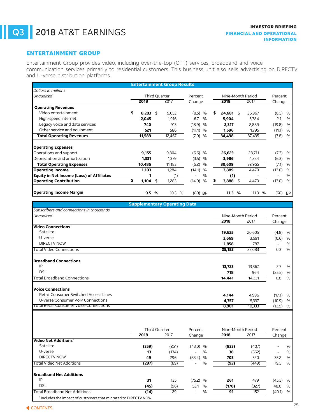

#### **Entertainment Group** ENTERTAINMENT GROUP

Entertainment Group provides video, including over-the-top (OTT) services, broadband and voice communication services primarily to communication services primarily to residential customers. This business unit also sells advertising on DIRECTV Entertainment Group provides video, including over-the-top (OTT) services, broadband and voice and U-verse distribution platforms.

|                                                  |               |    | <b>Entertainment Group Results</b> |           |               |    |        |                   |         |               |
|--------------------------------------------------|---------------|----|------------------------------------|-----------|---------------|----|--------|-------------------|---------|---------------|
| Dollars in millions                              |               |    |                                    |           |               |    |        |                   |         |               |
| <b>Unaudited</b>                                 | Third Quarter |    |                                    |           | Percent       |    |        | Nine-Month Period | Percent |               |
|                                                  | 2018          |    | 2017                               | Change    |               |    | 2018   | 2017              | Change  |               |
| <b>Operating Revenues</b>                        |               |    |                                    |           |               |    |        |                   |         |               |
| Video entertainment                              | \$<br>8,283   | \$ | 9,052                              | (8.5)     | $\%$          | \$ | 24,681 | \$<br>26,967      | (8.5)   | %             |
| High-speed internet                              | 2,045         |    | 1,916                              | 6.7       | $\%$          |    | 5,904  | 5,784             | 2.1     | $\%$          |
| Legacy voice and data services                   | 740           |    | 913                                | (18.9)    | %             |    | 2,317  | 2,889             | (19.8)  | %             |
| Other service and equipment                      | 521           |    | 586                                | (11.1)    | %             |    | 1,596  | 1,795             | (11.1)  | $\frac{0}{0}$ |
| <b>Total Operating Revenues</b>                  | 11,589        |    | 12,467                             | (7.0)     | $\%$          |    | 34,498 | 37,435            | (7.8)   | $\frac{0}{0}$ |
| <b>Operating Expenses</b>                        |               |    |                                    |           |               |    |        |                   |         |               |
| Operations and support                           | 9,155         |    | 9,804                              | (6.6)     | $\%$          |    | 26,623 | 28,711            | (7.3)   | %             |
| Depreciation and amortization                    | 1,331         |    | 1,379                              | (3.5)     | %             |    | 3,986  | 4,254             | (6.3)   | %             |
| <b>Total Operating Expenses</b>                  | 10,486        |    | 11,183                             | (6.2)     | %             |    | 30,609 | 32,965            | (7.1)   | %             |
| <b>Operating Income</b>                          | 1,103         |    | 1,284                              | (14.1)    | $\%$          |    | 3,889  | 4,470             | (13.0)  | %             |
| <b>Equity in Net Income (Loss) of Affiliates</b> |               |    | (1)                                |           | $\%$          |    | (1)    |                   |         | %             |
| <b>Operating Contribution</b>                    | 1,104         | £. | 1,283                              | (14.0)    | $\frac{0}{0}$ |    | 3,888  | 4,470             | (13.0)  | $\frac{0}{0}$ |
| <b>Operating Income Margin</b>                   | 9.5           | %  | 10.3<br>%                          | $(80)$ BP |               |    | 11.3   | %<br>11.9<br>$\%$ | (60)    | BP            |

| Supplementary Operating Data |  |  |
|------------------------------|--|--|
|                              |  |  |

| Subscribers and connections in thousands       |        |                   |        |      |
|------------------------------------------------|--------|-------------------|--------|------|
| <b>Unaudited</b>                               |        | Nine-Month Period |        |      |
|                                                | 2018   | 2017              | Change |      |
| <b>Video Connections</b>                       |        |                   |        |      |
| Satellite                                      | 19,625 | 20,605            | (4.8)  | %    |
| U-verse                                        | 3,669  | 3,691             | (0.6)  | $\%$ |
| <b>DIRECTV NOW</b>                             | 1,858  | 787               |        | $\%$ |
| <b>Total Video Connections</b>                 | 25,152 | 25,083            | 0.3    | $\%$ |
| <b>Broadband Connections</b>                   |        |                   |        |      |
| IP                                             | 13,723 | 13,367            | 2.7    | $\%$ |
| <b>DSL</b>                                     | 718    | 964               | (25.5) | %    |
| <b>Total Broadband Connections</b>             | 14,441 | 14,331            | 0.8    | $\%$ |
| <b>Voice Connections</b>                       |        |                   |        |      |
| <b>Retail Consumer Switched Access Lines</b>   | 4,144  | 4,996             | (17.1) | %    |
| U-verse Consumer VoIP Connections              | 4,757  | 5,337             | (10.9) | $\%$ |
| <b>Total Retail Consumer Voice Connections</b> | 8,901  | 10,333            | (13.9) | $\%$ |

|                                                                | <b>Third Quarter</b> |       | Percent                                   |       | Nine-Month Period |                          |      |
|----------------------------------------------------------------|----------------------|-------|-------------------------------------------|-------|-------------------|--------------------------|------|
|                                                                | 2018                 | 2017  | Change                                    | 2018  | 2017              | Change                   |      |
| Video Net Additions <sup>1</sup>                               |                      |       |                                           |       |                   |                          |      |
| Satellite                                                      | (359)                | (251) | (43.0)<br>%                               | (833) | (407)             | $\overline{\phantom{0}}$ | $\%$ |
| U-verse                                                        | 13                   | (134) | $\%$<br>$\overline{\phantom{0}}$          | 38    | (562)             | $\overline{\phantom{0}}$ | $\%$ |
| DIRECTV NOW                                                    | 49                   | 296   | (83.4)<br>%                               | 703   | 520               | 35.2                     | $\%$ |
| <b>Total Video Net Additions</b>                               | (297)                | (89)  | $\frac{0}{0}$<br>$\overline{\phantom{0}}$ | (92)  | (449)             | 79.5                     | $\%$ |
| <b>Broadband Net Additions</b>                                 |                      |       |                                           |       |                   |                          |      |
| IP                                                             | 31                   | 125   | (75.2)<br>%                               | 261   | 479               | (45.5)                   | $\%$ |
| <b>DSL</b>                                                     | (45)                 | (96)  | 53.1<br>$\frac{0}{0}$                     | (170) | (327)             | 48.0                     | $\%$ |
| <b>Total Broadband Net Additions</b>                           | (14)                 | 29    | %<br>$\overline{\phantom{0}}$             | 91    | 152               | (40.1)                   | $\%$ |
| Includes the impact of customers that migrated to DIRECTV NOW. |                      |       |                                           |       |                   |                          |      |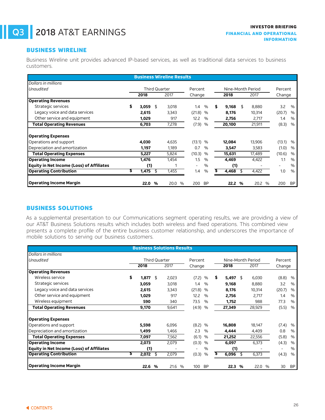#### **Business Wireline** BUSINESS WIRELINE

Business Wireline unit provides advanced IP-based services, as well as traditional data services to business customers. customers. Business Wireline unit provides advanced IP-based services, as well as traditional data services to business

|                                                  |                      |      | <b>Business Wireline Results</b> |            |           |             |                |                   |         |      |
|--------------------------------------------------|----------------------|------|----------------------------------|------------|-----------|-------------|----------------|-------------------|---------|------|
| Dollars in millions                              |                      |      |                                  |            |           |             |                |                   |         |      |
| <b>Unaudited</b>                                 | <b>Third Quarter</b> |      |                                  | Percent    |           |             |                | Nine-Month Period | Percent |      |
|                                                  | 2018                 |      | 2017                             | Change     |           | 2018        |                | 2017              | Change  |      |
| <b>Operating Revenues</b>                        |                      |      |                                  |            |           |             |                |                   |         |      |
| Strategic services                               | \$<br>3.059          | - \$ | 3,018                            | 1.4        | %         | \$<br>9,168 | $\mathfrak{L}$ | 8,880             | 3.2     | $\%$ |
| Legacy voice and data services                   | 2,615                |      | 3,343                            | (21.8)     | %         | 8,176       |                | 10,314            | (20.7)  | $\%$ |
| Other service and equipment                      | 1,029                |      | 917                              | 12.2       | $\%$      | 2,756       |                | 2,717             | 1.4     | $\%$ |
| <b>Total Operating Revenues</b>                  | 6,703                |      | 7,278                            | (7.9)      | $\%$      | 20,100      |                | 21,911            | (8.3)   | $\%$ |
| <b>Operating Expenses</b>                        |                      |      |                                  |            |           |             |                |                   |         |      |
| Operations and support                           | 4,030                |      | 4.635                            | $(13.1)$ % |           | 12.084      |                | 13,906            | (13.1)  | $\%$ |
| Depreciation and amortization                    | 1,197                |      | 1,189                            | 0.7        | $\%$      | 3,547       |                | 3,583             | (1.0)   | $\%$ |
| <b>Total Operating Expenses</b>                  | 5,227                |      | 5,824                            | (10.3)     | $\%$      | 15,631      |                | 17,489            | (10.6)  | $\%$ |
| <b>Operating Income</b>                          | 1,476                |      | 1,454                            | 1.5        | $\%$      | 4,469       |                | 4,422             | 1.1     | $\%$ |
| <b>Equity in Net Income (Loss) of Affiliates</b> | (1)                  |      |                                  |            | %         | (1)         |                |                   |         | $\%$ |
| <b>Operating Contribution</b>                    | 1,475                |      | 1,455                            | 1.4        | %         | 4,468       |                | 4,422             | 1.0     | $\%$ |
| <b>Operating Income Margin</b>                   | 22.0                 | %    | 20.0<br>$\%$                     | 200        | <b>BP</b> | 22.2        | %              | 20.2<br>$\%$      | 200     | BP   |

#### As a supplemental presentation to our Communications segment operating results, we are providing a view of our AT&T Business Solutions BUSINESS SOLUTIONS

results which includes both wireless and fixed operations. This combined view presents a complete profile of the entire business customer is a supplemental presentation to our communications segment operating res presents a complete profile of the entire business customer relationship, and underscores the importance of mobile solutions to serving our business customers. our AT&T Business Solutions results which includes both wireless and fixed operations. This combined view As a supplemental presentation to our Communications segment operating results, we are providing a view of

|                                                  |                      |    | <b>Business Solutions Results</b> |         |           |                   |     |              |         |           |
|--------------------------------------------------|----------------------|----|-----------------------------------|---------|-----------|-------------------|-----|--------------|---------|-----------|
| Dollars in millions                              |                      |    |                                   |         |           |                   |     |              |         |           |
| <b>Unaudited</b>                                 | <b>Third Quarter</b> |    |                                   | Percent |           | Nine-Month Period |     |              | Percent |           |
|                                                  | 2018                 |    | 2017                              | Change  |           | 2018              |     | 2017         | Change  |           |
| <b>Operating Revenues</b>                        |                      |    |                                   |         |           |                   |     |              |         |           |
| Wireless service                                 | \$<br>1.877          | \$ | 2,023                             | (7.2)   | $\%$      | \$<br>5,497       | \$. | 6,030        | (8.8)   | $\%$      |
| Strategic services                               | 3,059                |    | 3,018                             | 1.4     | $\%$      | 9,168             |     | 8,880        | 3.2     | $\%$      |
| Legacy voice and data services                   | 2,615                |    | 3,343                             | (21.8)  | %         | 8,176             |     | 10,314       | (20.7)  | $\%$      |
| Other service and equipment                      | 1,029                |    | 917                               | 12.2    | $\%$      | 2,756             |     | 2,717        | 1.4     | $\%$      |
| Wireless equipment                               | 590                  |    | 340                               | 73.5    | $\%$      | 1,752             |     | 988          | 77.3    | $\%$      |
| <b>Total Operating Revenues</b>                  | 9,170                |    | 9,641                             | (4.9)   | $\%$      | 27,349            |     | 28,929       | (5.5)   | $\%$      |
| <b>Operating Expenses</b>                        |                      |    |                                   |         |           |                   |     |              |         |           |
| Operations and support                           | 5,598                |    | 6,096                             | (8.2)   | $\%$      | 16,808            |     | 18,147       | (7.4)   | $\%$      |
| Depreciation and amortization                    | 1,499                |    | 1,466                             | 2.3     | $\%$      | 4,444             |     | 4,409        | 0.8     | $\%$      |
| <b>Total Operating Expenses</b>                  | 7,097                |    | 7,562                             | (6.1)   | $\%$      | 21,252            |     | 22,556       | (5.8)   | $\%$      |
| <b>Operating Income</b>                          | 2,073                |    | 2,079                             | (0.3)   | $\%$      | 6,097             |     | 6,373        | (4.3)   | $\%$      |
| <b>Equity in Net Income (Loss) of Affiliates</b> | (1)                  |    |                                   |         | $\%$      | (1)               |     |              |         | $\%$      |
| <b>Operating Contribution</b>                    | $2,072$ \$           |    | 2,079                             | (0.3)   | $\%$      | 6,096             | \$  | 6,373        | (4.3)   | $\%$      |
| <b>Operating Income Margin</b>                   | 22.6                 | %  | 21.6<br>$\%$                      | 100     | <b>BP</b> | 22.3              | %   | 22.0<br>$\%$ | 30      | <b>BP</b> |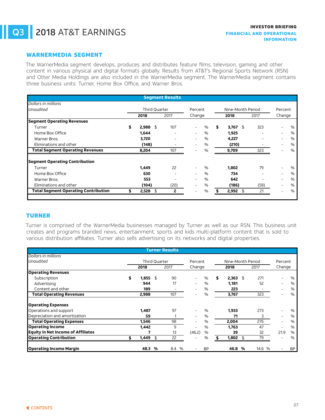#### WARNERMEDIA SEGMENT

**The WarnerMedia segment develops, produces and distributes feature films, television, gaming and other but the<br>** content in various physical and digital formats globally. Results from AT&T's Regional Sports Network (RSN) ind Otter Media Holdings are also included in the WarnerMedia Segment. The WarnerMedia Segment contains three business units: Turner, Home Box Office, and Warner Bros. The Warners priyated and distributies globally, headied normalisme films, and other content in various physical and other content in various physical and other content in various physical and other content in various physi and Otter Media Holdings are also included in the WarnerMedia segment. The WarnerMedia segment contains

|                                             |   |               | <b>Segment Results</b> |                          |      |                |                   |      |                          |      |
|---------------------------------------------|---|---------------|------------------------|--------------------------|------|----------------|-------------------|------|--------------------------|------|
| Dollars in millions                         |   |               |                        |                          |      |                |                   |      |                          |      |
| <b>Unaudited</b>                            |   | Third Quarter |                        | Percent                  |      |                | Nine-Month Period |      | Percent                  |      |
|                                             |   | 2018          | 2017                   | Change                   |      | 2018           |                   | 2017 | Change                   |      |
| <b>Segment Operating Revenues</b>           |   |               |                        |                          |      |                |                   |      |                          |      |
| Turner                                      | S | 2,988<br>- \$ | 107                    |                          | %    | \$<br>3,767 \$ |                   | 323  |                          | %    |
| Home Box Office                             |   | 1,644         |                        | $\overline{\phantom{0}}$ | $\%$ | 1,925          |                   |      | $\overline{\phantom{0}}$ | $\%$ |
| Warner Bros.                                |   | 3,720         |                        |                          | $\%$ | 4,227          |                   |      |                          | $\%$ |
| Eliminations and other                      |   | (148)         |                        |                          | $\%$ | (210)          |                   |      |                          | $\%$ |
| <b>Total Segment Operating Revenues</b>     |   | 8,204         | 107                    |                          | $\%$ | 9,709          |                   | 323  |                          | $\%$ |
| <b>Segment Operating Contribution</b>       |   |               |                        |                          |      |                |                   |      |                          |      |
| Turner                                      |   | 1,449         | 22                     |                          | $\%$ | 1,802          |                   | 79   |                          | $\%$ |
| Home Box Office                             |   | 630           |                        |                          | $\%$ | 734            |                   |      |                          | $\%$ |
| Warner Bros.                                |   | 553           |                        |                          | $\%$ | 642            |                   |      | $\overline{\phantom{0}}$ | $\%$ |
| Eliminations and other                      |   | (104)         | (20)                   |                          | $\%$ | (186)          |                   | (58) |                          | $\%$ |
| <b>Total Segment Operating Contribution</b> |   | 2,528<br>-S   |                        |                          | $\%$ | 2,992          | . ፍ               | 21   |                          | $\%$ |

#### TURNER

Turner is comprised of the WarnerMedia businesses managed by Turner as well as our RSN. This business unit creates and programs branded news, entertainment, sports and kids multi-platform content that is sold to various distribution affiliates. Turner also sells advertising on its networks and digital properties.

|                                           |    |                      |    | <b>Turner Results</b> |         |           |                   |   |        |                          |           |
|-------------------------------------------|----|----------------------|----|-----------------------|---------|-----------|-------------------|---|--------|--------------------------|-----------|
| Dollars in millions                       |    |                      |    |                       |         |           |                   |   |        |                          |           |
| <b>Unaudited</b>                          |    | <b>Third Quarter</b> |    |                       | Percent |           | Nine-Month Period |   |        | Percent                  |           |
|                                           |    | 2018                 |    | 2017                  | Change  |           | 2018              |   | 2017   | Change                   |           |
| <b>Operating Revenues</b>                 |    |                      |    |                       |         |           |                   |   |        |                          |           |
| Subscription                              | \$ | 1,855 $\frac{2}{3}$  |    | 90                    |         | $\%$      | \$<br>$2,363$ \$  |   | 271    |                          | $\%$      |
| Advertising                               |    | 944                  |    | 17                    |         | $\%$      | 1,181             |   | 52     |                          | $\%$      |
| Content and other                         |    | 189                  |    |                       |         | $\%$      | 223               |   |        |                          | $\%$      |
| <b>Total Operating Revenues</b>           |    | 2,988                |    | 107                   |         | $\%$      | 3,767             |   | 323    |                          | $\%$      |
| <b>Operating Expenses</b>                 |    |                      |    |                       |         |           |                   |   |        |                          |           |
| Operations and support                    |    | 1,487                |    | 97                    |         | $\%$      | 1,933             |   | 273    |                          | %         |
| Depreciation and amortization             |    | 59                   |    |                       |         | $\%$      | 71                |   | 3      |                          | $\%$      |
| <b>Total Operating Expenses</b>           |    | 1,546                |    | 98                    |         | $\%$      | 2,004             |   | 276    |                          | $\%$      |
| <b>Operating Income</b>                   |    | 1.442                |    | 9                     | ۰       | $\%$      | 1,763             |   | 47     |                          | $\%$      |
| <b>Equity in Net Income of Affiliates</b> |    |                      |    | 13                    | (46.2)  | $\%$      | 39                |   | 32     | 21.9                     | $\%$      |
| <b>Operating Contribution</b>             | ፍ  | 1,449                | \$ | 22                    |         | $\%$      | 1,802             | ፍ | 79     |                          | %         |
| <b>Operating Income Margin</b>            |    | 48.3                 | %  | $\%$<br>8.4           |         | <b>BP</b> | 46.8              | % | 14.6 % | $\overline{\phantom{0}}$ | <b>BP</b> |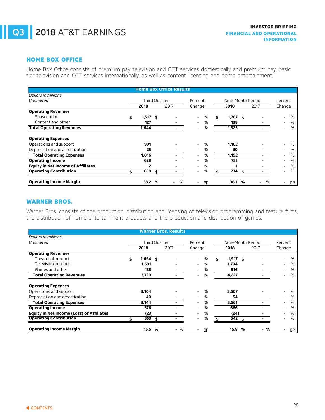#### **Home Box Office Home Box Office** HOME BOX OFFICE

Home Box Office consists of premium pay television and OTT services domestically and premium pay, basic ier television and OTT services internationally, as well as content licensing and home entertainment. tier television and OTT services internationally, as well as content licensing and home entertainment.<br>

|                                           |                      | <b>Home Box Office Results</b> |                                  |                   |      |                                       |
|-------------------------------------------|----------------------|--------------------------------|----------------------------------|-------------------|------|---------------------------------------|
| Dollars in millions                       |                      |                                |                                  |                   |      |                                       |
| <b>Unaudited</b>                          | <b>Third Quarter</b> |                                | Percent                          | Nine-Month Period |      | Percent                               |
|                                           | 2018                 | 2017                           | Change                           | 2018              | 2017 | Change                                |
| <b>Operating Revenues</b>                 |                      |                                |                                  |                   |      |                                       |
| Subscription                              | \$<br>1,517<br>\$    |                                | $\%$<br>$\qquad \qquad -$        | 1,787 $$$<br>\$   |      | $\%$                                  |
| Content and other                         | 127                  |                                | $\%$<br>$\overline{\phantom{0}}$ | 138               |      | $\%$                                  |
| <b>Total Operating Revenues</b>           | 1,644                |                                | $\%$<br>-                        | 1,925             |      | $\%$                                  |
| <b>Operating Expenses</b>                 |                      |                                |                                  |                   |      |                                       |
| Operations and support                    | 991                  |                                | $\%$<br>-                        | 1,162             |      | $\%$                                  |
| Depreciation and amortization             | 25                   |                                | $\%$<br>-                        | 30                |      | $\%$                                  |
| <b>Total Operating Expenses</b>           | 1,016                |                                | $\%$<br>-                        | 1,192             |      | $\frac{0}{0}$                         |
| <b>Operating Income</b>                   | 628                  |                                | $\%$<br>-                        | 733               |      | $\frac{0}{0}$                         |
| <b>Equity in Net Income of Affiliates</b> | 2                    |                                | $\%$<br>-                        |                   |      | %                                     |
| <b>Operating Contribution</b>             | 630                  |                                | $\%$<br>$\overline{\phantom{0}}$ | 734               |      | $\%$                                  |
| <b>Operating Income Margin</b>            | 38.2 %               | $\%$<br>$-$                    | <b>BP</b><br>-                   | %<br>38.1         | $\%$ | <b>BP</b><br>$\overline{\phantom{a}}$ |

### **Warner Bros. Warner Bros.** WARNER BROS.

Warner Bros. consists of the production, distribution and licensing of television programming and feature films, the distribution of home entertainment products and the production and distribution of games.

|                                                  |               |     | <b>Warner Bros. Results</b>      |                                           |             |                   |                    |
|--------------------------------------------------|---------------|-----|----------------------------------|-------------------------------------------|-------------|-------------------|--------------------|
| Dollars in millions                              |               |     |                                  |                                           |             |                   |                    |
| <b>Unaudited</b>                                 | Third Quarter |     |                                  | Percent                                   |             | Nine-Month Period | Percent            |
|                                                  | 2018          |     | 2017                             | Change                                    | 2018        | 2017              | Change             |
| <b>Operating Revenues</b>                        |               |     |                                  |                                           |             |                   |                    |
| Theatrical product                               | \$<br>1,694   | . ቴ |                                  | $\%$<br>$\overline{\phantom{a}}$          | \$<br>1,917 | \$                | $\%$<br>-          |
| Television product                               | 1,591         |     |                                  | $\frac{0}{0}$<br>$\overline{\phantom{a}}$ | 1,794       |                   | %<br>-             |
| Games and other                                  | 435           |     |                                  | $\frac{0}{0}$<br>$\overline{\phantom{0}}$ | 516         |                   | $\frac{0}{0}$      |
| <b>Total Operating Revenues</b>                  | 3,720         |     |                                  | $\frac{0}{0}$<br>$\overline{\phantom{0}}$ | 4,227       |                   | $\%$               |
| <b>Operating Expenses</b>                        |               |     |                                  |                                           |             |                   |                    |
| Operations and support                           | 3,104         |     |                                  | $\frac{0}{0}$<br>-                        | 3,507       |                   | %                  |
| Depreciation and amortization                    | 40            |     |                                  | $\frac{0}{0}$<br>$\overline{\phantom{a}}$ | 54          |                   | $\%$<br>Ξ.         |
| <b>Total Operating Expenses</b>                  | 3,144         |     |                                  | $\frac{0}{0}$<br>$\overline{\phantom{0}}$ | 3,561       |                   | $\frac{0}{0}$<br>- |
| <b>Operating Income</b>                          | 576           |     |                                  | $\frac{0}{0}$<br>$\overline{\phantom{0}}$ | 666         |                   | $\%$               |
| <b>Equity in Net Income (Loss) of Affiliates</b> | (23)          |     |                                  | $\frac{0}{0}$<br>$\overline{\phantom{0}}$ | (24)        |                   | $\%$               |
| <b>Operating Contribution</b>                    | 553           |     |                                  | $\%$<br>$\overline{\phantom{a}}$          | 642         |                   | $\%$<br>۰          |
| <b>Operating Income Margin</b>                   | 15.5          | %   | $\%$<br>$\overline{\phantom{0}}$ | <b>BP</b><br>$\qquad \qquad$              | 15.8        | $\%$<br>%<br>$-$  | <b>BP</b><br>-     |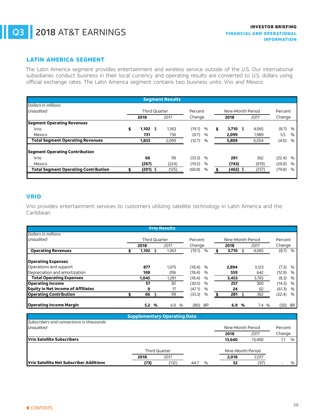#### **LATIN AMERICA SEGMENT** LATIN AMERICA SEGMENT

subsidiaries conduct business in their local currency and operating results are converted to U.S. dollars using official exchange rates. The Latin America segment contains two business units: Vrio and Mexico. business units: Vrio and Mexico. The Latin America segment provides entertainment and wireless service outside of the U.S. Our international

|                                             |                      |      | <b>Segment Results</b> |         |      |                           |       |         |               |
|---------------------------------------------|----------------------|------|------------------------|---------|------|---------------------------|-------|---------|---------------|
| Dollars in millions                         |                      |      |                        |         |      |                           |       |         |               |
| <b>Unaudited</b>                            | <b>Third Quarter</b> |      |                        | Percent |      | Nine-Month Period         |       | Percent |               |
|                                             | 2018                 |      | 2017                   | Change  |      | 2018                      | 2017  | Change  |               |
| <b>Segment Operating Revenues</b>           |                      |      |                        |         |      |                           |       |         |               |
| Vrio                                        | \$<br>1,102          | - \$ | 1,363                  | (19.1)  | $\%$ | \$<br>3,710 $\frac{1}{2}$ | 4,065 | (8.7)   | $\%$          |
| Mexico                                      | 731                  |      | 736                    | (0.7)   | $\%$ | 2,099                     | 1,989 | 5.5     | $\frac{0}{0}$ |
| <b>Total Segment Operating Revenues</b>     | 1,833                |      | 2,099                  | (12.7)  | $\%$ | 5,809                     | 6,054 | (4.0)   | $\%$          |
| <b>Segment Operating Contribution</b>       |                      |      |                        |         |      |                           |       |         |               |
| Vrio                                        | 66                   |      | 99                     | (33.3)  | $\%$ | 281                       | 362   | (22.4)  | %             |
| Mexico                                      | (267)                |      | (224)                  | (19.2)  | $\%$ | (743)                     | (619) | (20.0)  | $\%$          |
| <b>Total Segment Operating Contribution</b> | $(201)$ \$           |      | (125)                  | (60.8)  | $\%$ | $(462)$ \$                | (257) | (79.8)  | $\%$          |
|                                             |                      |      |                        |         |      |                           |       |         |               |

#### VRIO

Vrio provides entertainment services to customers utilizing satellite technology in Latin America and the Caribbean. **Vrio** Vrio provides entertainment services to customers utilizing satellite technology in Latin America and the Caribbean. Vrio provides entertainment services to customers utilizing satellite technology in Latin America and the Caribbean.

|                                           |                      | <b>Vrio Results</b> |         |               |                   |   |       |         |               |
|-------------------------------------------|----------------------|---------------------|---------|---------------|-------------------|---|-------|---------|---------------|
| Dollars in millions                       |                      |                     |         |               |                   |   |       |         |               |
| Unaudited                                 | <b>Third Quarter</b> |                     | Percent |               | Nine-Month Period |   |       | Percent |               |
|                                           | 2018                 | 2017                | Change  |               | 2018              |   | 2017  | Change  |               |
| <b>Operating Revenues</b>                 | 1,102                | 1,363               | (19.1)  | $\%$          | 3,710             |   | 4,065 | (8.7)   | %             |
| <b>Operating Expenses</b>                 |                      |                     |         |               |                   |   |       |         |               |
| Operations and support                    | 877                  | 1.075               | (18.4)  | $\frac{1}{2}$ | 2,894             |   | 3,123 | (7.3)   | %             |
| Depreciation and amortization             | 168                  | 206                 | (18.4)  | $\%$          | 559               |   | 642   | (12.9)  | %             |
| <b>Total Operating Expenses</b>           | 1,045                | 1,281               | (18.4)  | $\%$          | 3,453             |   | 3,765 | (8.3)   | %             |
| <b>Operating Income</b>                   | 57                   | 82                  | (30.5)  | $\%$          | 257               |   | 300   | (14.3)  | $\frac{0}{0}$ |
| <b>Equity in Net Income of Affiliates</b> | 9                    | 17                  | (47.1)  | $\%$          | 24                |   | 62    | (61.3)  | $\%$          |
| <b>Operating Contribution</b>             | 66                   | 99                  | (33.3)  | $\%$          | 281               |   | 362   | (22.4)  | $\%$          |
| <b>Operating Income Margin</b>            | 5.2 %                | 6.0<br>$\%$         | (80)    | <b>BP</b>     | 6.9               | % | 7.4 % | (50)    | <b>BP</b>     |

|                                                | <b>Supplementary Operating Data</b> |                      |              |                   |        |                               |
|------------------------------------------------|-------------------------------------|----------------------|--------------|-------------------|--------|-------------------------------|
| Subscribers and connections in thousands       |                                     |                      |              |                   |        |                               |
| <b>Unaudited</b>                               |                                     |                      |              | Nine-Month Period |        | Percent                       |
|                                                |                                     |                      |              | 2018              | 2017   | Change                        |
| <b>Vrio Satellite Subscribers</b>              |                                     |                      |              | 13.640            | 13.490 | $\%$<br>1.1                   |
|                                                |                                     | <b>Third Quarter</b> |              | Nine-Month Period |        |                               |
|                                                | 2018                                | 2017                 |              | 2.018             | 2,017  |                               |
| <b>Vrio Satellite Net Subscriber Additions</b> | (73)                                | (132)                | $\%$<br>44.7 | 52                | (97)   | %<br>$\overline{\phantom{a}}$ |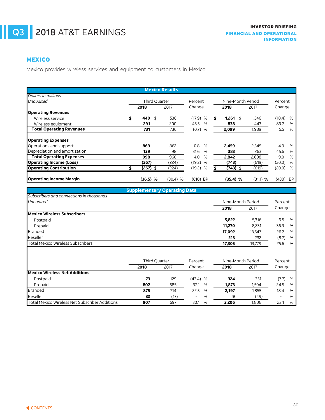#### **MEXICO**

**Mexico** Mexico provides wireless services and equipment to customers in Mexico.

|                                          |                                     | <b>Mexico Results</b> |                       |                   |            |                       |
|------------------------------------------|-------------------------------------|-----------------------|-----------------------|-------------------|------------|-----------------------|
| Dollars in millions                      |                                     |                       |                       |                   |            |                       |
| <b>Unaudited</b>                         | <b>Third Quarter</b>                |                       | Percent               | Nine-Month Period |            | Percent               |
|                                          | 2018                                | 2017                  | Change                | 2018              | 2017       | Change                |
| <b>Operating Revenues</b>                |                                     |                       |                       |                   |            |                       |
| Wireless service                         | \$<br>\$<br>440                     | 536                   | $(17.9)$ %            | \$<br>1,261<br>\$ | 1,546      | (18.4)<br>%           |
| Wireless equipment                       | 291                                 | 200                   | 45.5<br>$\%$          | 838               | 443        | 89.2<br>$\%$          |
| <b>Total Operating Revenues</b>          | 731                                 | 736                   | (0.7)<br>$\%$         | 2,099             | 1.989      | 5.5<br>$\frac{0}{0}$  |
| <b>Operating Expenses</b>                |                                     |                       |                       |                   |            |                       |
| Operations and support                   | 869                                 | 862                   | 0.8<br>$\%$           | 2,459             | 2,345      | 4.9<br>$\frac{0}{0}$  |
| Depreciation and amortization            | 129                                 | 98                    | 31.6<br>$\frac{0}{0}$ | 383               | 263        | $\frac{0}{0}$<br>45.6 |
| <b>Total Operating Expenses</b>          | 998                                 | 960                   | 4.0<br>$\%$           | 2,842             | 2,608      | $\frac{0}{0}$<br>9.0  |
| <b>Operating Income (Loss)</b>           | (267)                               | (224)                 | (19.2)<br>$\%$        | (743)             | (619)      | (20.0)<br>$\%$        |
| <b>Operating Contribution</b>            | \$<br>$(267)$ \$                    | (224)                 | (19.2)<br>$\%$        | $(743)$ \$<br>\$  | (619)      | $\%$<br>(20.0)        |
| <b>Operating Income Margin</b>           | $(36.5)$ %                          | $(30.4)$ %            | $(610)$ BP            | (35.4) %          | $(31.1)$ % | (430)<br>BP           |
|                                          | <b>Supplementary Operating Data</b> |                       |                       |                   |            |                       |
| Subscribers and connections in thousands |                                     |                       |                       |                   |            |                       |
| <b>Unaudited</b>                         |                                     |                       |                       | Nine-Month Period |            | Percent               |
|                                          |                                     |                       |                       | 2018              | 2017       | Change                |
| <b>Mexico Wireless Subscribers</b>       |                                     |                       |                       |                   |            |                       |
| Postpaid                                 |                                     |                       |                       | 5,822             | 5,316      | 9.5<br>%              |
| Prepaid                                  |                                     |                       |                       | 11,270            | 8,231      | 36.9<br>$\frac{0}{0}$ |
| <b>Branded</b>                           |                                     |                       |                       | 17,092            | 13,547     | $\%$<br>26.2          |
| Reseller                                 |                                     |                       |                       | 213               | 232        | $\%$<br>(8.2)         |
| <b>Total Mexico Wireless Subscribers</b> |                                     |                       |                       | 17,305            | 13,779     | 25.6<br>$\%$          |
|                                          |                                     |                       |                       |                   |            |                       |
|                                          | <b>Third Quarter</b>                |                       | Percent               | Nine-Month Period |            | Percent               |
|                                          | 2018                                | 2017                  | Change                | 2018              | 2017       | Change                |
| <b>Mexico Wireless Net Additions</b>     |                                     |                       |                       |                   |            |                       |
| Postpaid                                 | 73                                  | 129                   | $(43.4)$ %            | 324               | 351        | (7.7)<br>%            |

Prepaid **802** 585 37.1 % **1,873** 1,504 24.5 %

 **875** 714 22.5 % **2,197** 1,855 18.4 %  **32** (17) - % **9** (49) - %  **907** 697 30.1 % **2,206** 1,806 22.1 %

Reseller

Branded

Total Mexico Wireless Net Subscriber Additions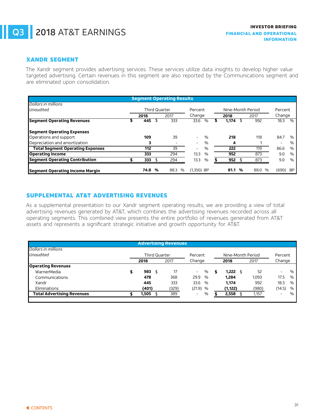

#### XANDR SEGMENT

The Xandr segment provides advertising services. These services utilize data insights to develop higher value are eliminated upon consolidation. These services utilization of the value targeted advertising of the value targeted advertising. Certain of the value targeted advertising. Certain of the value of the value of the value o revenues in this segment are also reported by the Communications segment and are eliminated upon consolidation. targeted advertising. Certain revenues in this segment are also reported by the Communications segment and

|                                         |      |   | <b>Segment Operating Results</b> |                        |                   |                       |                    |
|-----------------------------------------|------|---|----------------------------------|------------------------|-------------------|-----------------------|--------------------|
| Dollars in millions                     |      |   |                                  |                        |                   |                       |                    |
| Unaudited                               |      |   | <b>Third Quarter</b>             | Percent                | Nine-Month Period |                       | Percent            |
|                                         | 2018 |   | 2017                             | Change                 | 2018              | 2017                  | Change             |
| <b>Segment Operating Revenues</b>       | 445  |   | 333                              | 33.6<br>%              | 1,174             | 992                   | $\%$<br>18.3       |
| <b>Segment Operating Expenses</b>       |      |   |                                  |                        |                   |                       |                    |
| Operations and support                  | 109  |   | 39                               | $\%$<br>-              | 218               | 118                   | 84.7<br>$\%$       |
| Depreciation and amortization           | 3    |   |                                  | $\%$<br>-              | 4                 |                       | $\%$<br>-          |
| <b>Total Segment Operating Expenses</b> | 112  |   | 39                               | $\%$<br>$\overline{a}$ | 222               | 119                   | 86.6<br>$\%$       |
| <b>Operating Income</b>                 | 333  |   | 294                              | 13.3<br>$\%$           | 952               | 873                   | 9.0<br>$\%$        |
| <b>Segment Operating Contribution</b>   | 333  |   | 294                              | 13.3<br>%              | 952               | 873                   | 9.0<br>$\%$        |
| Segment Operating Income Margin         | 74.8 | % | 88.3<br>$\%$                     | $(1,350)$ BP           | %<br>81.1         | 88.0<br>$\frac{1}{2}$ | (690)<br><b>BP</b> |

#### SUPPLEMENTAL AT&T ADVERTISING REVENUES gemeente operation operation to total and total and total advertising r

As a supplemental presentation to our Xandr segment operating results, we are providing a view of total advertising revenues generated by AT&T, which combines the advertising revenues recorded across all assets and represents a significant strategic initiative and growth opportunity for AT&T. aver doing revenues grienated by  $m\alpha$ , when compiles the davertising revenues recorded at 000 and operating segments. This combined view presents the entire portfolio of revenues generated from AT&T

|                                   |                      | <b>Advertising Revenues</b> |                                  |   |                   |       |                          |      |
|-----------------------------------|----------------------|-----------------------------|----------------------------------|---|-------------------|-------|--------------------------|------|
| Dollars in millions               |                      |                             |                                  |   |                   |       |                          |      |
| <b>Unaudited</b>                  | <b>Third Quarter</b> |                             | Percent                          |   | Nine-Month Period |       | Percent                  |      |
|                                   | 2018                 | 2017                        | Change                           |   | 2018              | 2017  | Change                   |      |
| <b>Operating Revenues</b>         |                      |                             |                                  |   |                   |       |                          |      |
| WarnerMedia                       | 983 $$$              | 17                          | $\%$<br>$\overline{\phantom{0}}$ | s | 1,222             | 52    | $\overline{\phantom{a}}$ | %    |
| Communications                    | 478                  | 368                         | 29.9<br>$\%$                     |   | 1.284             | 1,093 | 17.5                     | $\%$ |
| Xandr                             | 445                  | 333                         | 33.6<br>$\%$                     |   | 1.174             | 992   | 18.3                     | $\%$ |
| Eliminations                      | (401)                | (329)                       | $(21.9)$ %                       |   | (1, 122)          | (980) | (14.5)                   | $\%$ |
| <b>Total Advertising Revenues</b> | 1,505                | 389                         | $\%$<br>Ξ.                       |   | 2,558             | 1,157 | $\overline{\phantom{0}}$ | %    |
|                                   |                      |                             |                                  |   |                   |       |                          |      |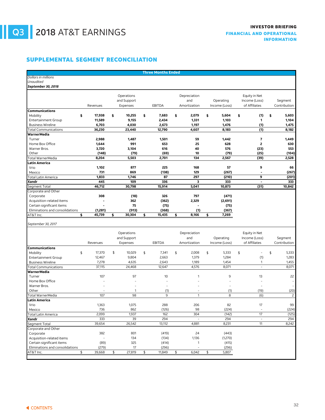#### **SUPPLEMENTAL SEGMENT RECONCILIATION** SUPPLEMENTAL SEGMENT RECONCILIATION

|                                                                                                                               |                                           |                                          | <b>Three Months Ended</b>               |                                        |                                        |                                                 |                                        |
|-------------------------------------------------------------------------------------------------------------------------------|-------------------------------------------|------------------------------------------|-----------------------------------------|----------------------------------------|----------------------------------------|-------------------------------------------------|----------------------------------------|
| Dollars in millions<br><b>Unaudited</b><br>September 30, 2018                                                                 |                                           |                                          |                                         |                                        |                                        |                                                 |                                        |
|                                                                                                                               | Revenues                                  | Operations<br>and Support<br>Expenses    | <b>EBITDA</b>                           | Depreciation<br>and<br>Amortization    | Operating<br>Income (Loss)             | Equity in Net<br>Income (Loss)<br>of Affiliates | Segment<br>Contribution                |
| <b>Communications</b><br>Mobility<br><b>Entertainment Group</b><br><b>Business Wireline</b><br><b>Total Communications</b>    | \$<br>17,938<br>11,589<br>6,703<br>36,230 | \$<br>10,255<br>9,155<br>4,030<br>23,440 | \$<br>7,683<br>2,434<br>2,673<br>12,790 | \$<br>2,079<br>1,331<br>1,197<br>4,607 | \$<br>5,604<br>1,103<br>1,476<br>8,183 | \$<br>(1)<br>1<br>(1)<br>(1)                    | \$<br>5,603<br>1,104<br>1,475<br>8,182 |
| WarnerMedia<br>Turner<br>Home Box Office<br>Warner Bros.<br>Other                                                             | 2,988<br>1,644<br>3,720<br>(148)          | 1,487<br>991<br>3,104<br>(79)            | 1,501<br>653<br>616<br>(69)             | 59<br>25<br>40<br>10                   | 1,442<br>628<br>576<br>(79)            | 7<br>2<br>(23)<br>(25)                          | 1,449<br>630<br>553<br>(104)           |
| Total WarnerMedia<br><b>Latin America</b>                                                                                     | 8,204                                     | 5,503                                    | 2,701                                   | 134                                    | 2,567                                  | (39)                                            | 2,528                                  |
| Vrio<br>Mexico<br><b>Total Latin America</b>                                                                                  | 1,102<br>731<br>1.833                     | 877<br>869<br>1,746                      | 225<br>(138)<br>87                      | 168<br>129<br>297                      | 57<br>(267)<br>(210)                   | 9<br>9                                          | 66<br>(267)<br>(201)                   |
| Xandr<br>Segment Total                                                                                                        | 445<br>46,712                             | 109<br>30,798                            | 336<br>15,914                           | 3<br>5.041                             | 333<br>10,873                          | (31)                                            | 333<br>10.842                          |
| Corporate and Other<br>Corporate<br>Acquisition-related items<br>Certain significant items<br>Eliminations and consolidations | 308<br>(1,281)                            | (18)<br>362<br>75<br>(913)               | 326<br>(362)<br>(75)<br>(368)           | 797<br>2,329<br>(1)                    | (471)<br>(2,691)<br>(75)<br>(367)      |                                                 |                                        |
| AT&T Inc.                                                                                                                     | 45,739<br>\$                              | \$<br>30,304                             | \$<br>15,435                            | \$<br>8,166                            | \$<br>7,269                            |                                                 |                                        |

*September 30, 2017*

|                                 | Revenues     | Operations<br>and Support<br>Expenses | <b>EBITDA</b> | Depreciation<br>and<br>Amortization | Operating<br>Income (Loss) | Equity in Net<br>Income (Loss)<br>of Affiliates | Segment<br>Contribution |
|---------------------------------|--------------|---------------------------------------|---------------|-------------------------------------|----------------------------|-------------------------------------------------|-------------------------|
| <b>Communications</b>           |              |                                       |               |                                     |                            |                                                 |                         |
| Mobility                        | 17,370<br>\$ | \$<br>10,029                          | \$<br>7,341   | \$<br>2,008                         | \$<br>5,333                | \$                                              | \$<br>5,333             |
| <b>Entertainment Group</b>      | 12,467       | 9,804                                 | 2.663         | 1,379                               | 1,284                      | (1)                                             | 1,283                   |
| <b>Business Wireline</b>        | 7,278        | 4,635                                 | 2,643         | 1,189                               | 1,454                      |                                                 | 1,455                   |
| <b>Total Communications</b>     | 37,115       | 24,468                                | 12,647        | 4,576                               | 8,071                      | $\sim$                                          | 8,071                   |
| <b>WarnerMedia</b>              |              |                                       |               |                                     |                            |                                                 |                         |
| Turner                          | 107          | 97                                    | 10            |                                     | 9                          | 13                                              | 22                      |
| Home Box Office                 |              |                                       |               |                                     |                            |                                                 |                         |
| Warner Bros.                    |              |                                       |               |                                     |                            |                                                 |                         |
| Other                           |              |                                       | (1)           |                                     | (1)                        | (19)                                            | (20)                    |
| Total WarnerMedia               | 107          | 98                                    | 9             | 1                                   | 8                          | (6)                                             | 2                       |
| <b>Latin America</b>            |              |                                       |               |                                     |                            |                                                 |                         |
| Vrio                            | 1,363        | 1,075                                 | 288           | 206                                 | 82                         | 17                                              | 99                      |
| Mexico                          | 736          | 862                                   | (126)         | 98                                  | (224)                      |                                                 | (224)                   |
| Total Latin America             | 2,099        | 1,937                                 | 162           | 304                                 | (142)                      | 17                                              | (125)                   |
| Xandr                           | 333          | 39                                    | 294           | $\overline{a}$                      | 294                        | $\sim$                                          | 294                     |
| Segment Total                   | 39,654       | 26,542                                | 13,112        | 4,881                               | 8,231                      | 11                                              | 8,242                   |
| Corporate and Other             |              |                                       |               |                                     |                            |                                                 |                         |
| Corporate                       | 382          | 801                                   | (419)         | 24                                  | (443)                      |                                                 |                         |
| Acquisition-related items       |              | 134                                   | (134)         | 1,136                               | (1,270)                    |                                                 |                         |
| Certain significant items       | (89)         | 325                                   | (414)         |                                     | (415)                      |                                                 |                         |
| Eliminations and consolidations | (279)        | 17                                    | (296)         |                                     | (296)                      |                                                 |                         |
| AT&T Inc.<br>\$                 | 39,668       | \$<br>27,819                          | \$<br>11,849  | \$<br>6,042                         | \$<br>5,807                |                                                 |                         |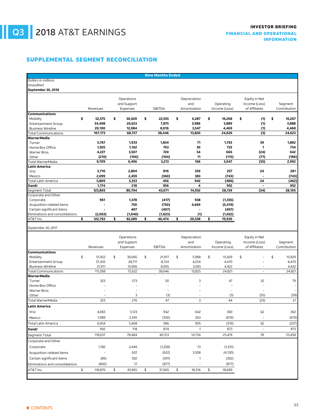#### **SUPPLEMENTAL SEGMENT RECONCILIATION** SUPPLEMENTAL SEGMENT RECONCILIATION

|                                 |                |          |              | <b>Nine Months Ended</b> |                     |               |               |              |
|---------------------------------|----------------|----------|--------------|--------------------------|---------------------|---------------|---------------|--------------|
| Dollars in millions             |                |          |              |                          |                     |               |               |              |
| <b>Unaudited</b>                |                |          |              |                          |                     |               |               |              |
| September 30, 2018              |                |          |              |                          |                     |               |               |              |
|                                 |                |          |              |                          |                     |               |               |              |
|                                 |                |          | Operations   |                          | Depreciation        |               | Equity in Net |              |
|                                 |                |          | and Support  |                          | and                 | Operating     | Income (Loss) | Segment      |
|                                 |                | Revenues | Expenses     | <b>EBITDA</b>            | Amortization        | Income (Loss) | of Affiliates | Contribution |
| <b>Communications</b>           |                |          |              |                          |                     |               |               |              |
| Mobility                        | \$             | 52,575   | \$<br>30,020 | \$<br>22,555             | \$<br>6,287         | \$<br>16,268  | (1)<br>\$     | \$<br>16,267 |
| <b>Entertainment Group</b>      |                | 34,498   | 26,623       | 7,875                    | 3,986               | 3,889         | (1)           | 3,888        |
| <b>Business Wireline</b>        |                | 20,100   | 12,084       | 8,016                    | 3,547               | 4,469         | (1)           | 4,468        |
| <b>Total Communications</b>     |                | 107,173  | 68,727       | 38,446                   | 13,820              | 24,626        | (3)           | 24,623       |
| WarnerMedia                     |                |          |              |                          |                     |               |               |              |
| Turner                          |                | 3,767    | 1,933        | 1,834                    | 71                  | 1,763         | 39            | 1,802        |
| Home Box Office                 |                | 1,925    | 1,162        | 763                      | 30                  | 733           | 1             | 734          |
| Warner Bros.                    |                | 4,227    | 3,507        | 720                      | 54                  | 666           | (24)          | 642          |
| Other                           |                | (210)    | (106)        | (104)                    | 11                  | (115)         | (71)          | (186)        |
| Total WarnerMedia               |                | 9,709    | 6,496        | 3,213                    | 166                 | 3,047         | (55)          | 2,992        |
| Latin America                   |                |          |              |                          |                     |               |               |              |
| Vrio                            |                | 3,710    | 2,894        | 816                      | 559                 | 257           | 24            | 281          |
| Mexico                          |                | 2,099    | 2,459        | (360)                    | 383                 | (743)         |               | (743)        |
| <b>Total Latin America</b>      |                | 5,809    | 5,353        | 456                      | 942                 | (486)         | 24            | (462)        |
| Xandr                           |                | 1,174    | 218          | 956                      | $\overline{\bf{4}}$ | 952           | $\sim$        | 952          |
| Segment Total                   |                | 123,865  | 80,794       | 43,071                   | 14,932              | 28,139        | (34)          | 28,105       |
| Corporate and Other             |                |          |              |                          |                     |               |               |              |
| Corporate                       |                | 961      | 1,378        | (417)                    | 938                 | (1, 355)      |               |              |
| Acquisition-related items       |                | ÷        | 750          | (750)                    | 4,669               | (5, 419)      |               |              |
| Certain significant items       |                |          | 407          | (407)                    |                     | (407)         |               |              |
| Eliminations and consolidations |                | (2,063)  | (1,040)      | (1,023)                  | (1)                 | (1,022)       |               |              |
| AT&T Inc.                       | \$             | 122,763  | \$<br>82,289 | \$<br>40,474             | \$<br>20,538        | \$<br>19,936  |               |              |
| September 30, 2017              |                |          |              |                          |                     |               |               |              |
|                                 |                |          |              |                          |                     |               |               |              |
|                                 |                |          | Operations   |                          | Depreciation        |               | Equity in Net |              |
|                                 |                |          | and Support  |                          | and                 | Operating     | Income (Loss) | Segment      |
|                                 |                | Revenues | Expenses     | <b>EBITDA</b>            | Amortization        | Income (Loss) | of Affiliates | Contribution |
| <b>Communications</b>           |                |          |              |                          |                     |               |               |              |
| Mobility                        | \$             | 51,922   | \$<br>30,005 | \$<br>21,917             | \$<br>5,988         | \$<br>15,929  | \$            | \$<br>15,929 |
| <b>Entertainment Group</b>      |                | 37,435   | 28,711       | 8,724                    | 4,254               | 4,470         |               | 4,470        |
| <b>Business Wireline</b>        |                | 21,911   | 13,906       | 8,005                    | 3,583               | 4,422         | ۰             | 4,422        |
| <b>Total Communications</b>     |                | 111,268  | 72,622       | 38,646                   | 13,825              | 24,821        | ÷,            | 24,821       |
| WarnerMedia                     |                |          |              |                          |                     |               |               |              |
| Turner                          |                | 323      | 273          | 50                       | 3                   | 47            | 32            | 79           |
| Home Box Office                 |                |          |              |                          |                     |               | ÷             |              |
| Warner Bros.                    |                |          |              |                          |                     |               | ÷             |              |
| Other                           |                |          | 3            | (3)                      |                     | (3)           | (55)          | (58)         |
| Total WarnerMedia               |                | 323      | 276          | 47                       | 3                   | 44            | (23)          | 21           |
| <b>Latin America</b>            |                |          |              |                          |                     |               |               |              |
| Vrio                            |                | 4,065    | 3,123        | 942                      | 642                 | 300           | 62            | 362          |
| Mexico                          |                | 1,989    | 2,345        | (356)                    | 263                 | (619)         |               | (619)        |
|                                 |                |          |              |                          |                     |               |               |              |
| <b>Total Latin America</b>      |                | 6,054    | 5,468        | 586                      | 905                 | (319)         | 62            | (257)        |
| Xandr                           |                | 992      | 118          | 874                      | $\mathbf{1}$        | 873           | $\equiv$      | 873          |
| Segment Total                   |                | 118,637  | 78,484       | 40,153                   | 14,734              | 25,419        | 39            | 25,458       |
| Corporate and Other             |                |          |              |                          |                     |               |               |              |
| Corporate                       |                | 1,182    | 2,440        | (1,258)                  | 73                  | (1, 331)      |               |              |
|                                 |                |          |              |                          |                     |               |               |              |
| Acquisition-related items       |                |          | 622          | (622)                    | 3,508               | (4, 130)      |               |              |
| Certain significant items       |                | (89)     | 302          | (391)                    | 1                   | (392)         |               |              |
| Eliminations and consolidations |                | (860)    | 17           | (877)                    |                     | (877)         |               |              |
| AT&T Inc.                       | $\mathfrak{D}$ | 118,870  | \$<br>81,865 | \$<br>37,005             | \$<br>18,316        | \$<br>18,689  |               |              |
|                                 |                |          |              |                          |                     |               |               |              |
|                                 |                |          |              |                          |                     |               |               |              |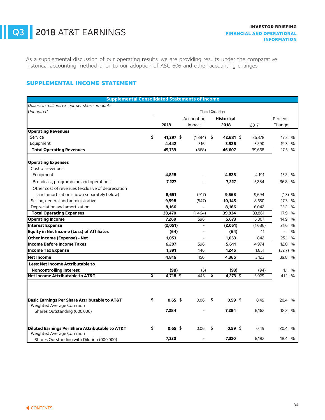historical accounting method prior to our adoption of ASC 606 and other accounting changes. As a supplemental discussion of our operating results, we are providing results under the comparative

#### SUPPLEMENTAL INCOME STATEMENT

| <b>Supplemental Consolidated Statements of Income</b>                      |                       |                          |               |                   |         |              |
|----------------------------------------------------------------------------|-----------------------|--------------------------|---------------|-------------------|---------|--------------|
| Dollars in millions except per share amounts                               |                       |                          |               |                   |         |              |
| <b>Unaudited</b>                                                           |                       |                          | Third Quarter |                   |         |              |
|                                                                            |                       | Accounting               |               | <b>Historical</b> |         | Percent      |
|                                                                            | 2018                  | Impact                   |               | 2018              | 2017    | Change       |
| <b>Operating Revenues</b>                                                  |                       |                          |               |                   |         |              |
| Service                                                                    | \$<br>41,297 \$       | (1, 384)                 | \$            | 42,681 \$         | 36,378  | 17.3 %       |
| Equipment                                                                  | 4,442                 | 516                      |               | 3,926             | 3,290   | 19.3<br>$\%$ |
| <b>Total Operating Revenues</b>                                            | 45,739                | (868)                    |               | 46,607            | 39,668  | 17.5 %       |
|                                                                            |                       |                          |               |                   |         |              |
| <b>Operating Expenses</b><br>Cost of revenues                              |                       |                          |               |                   |         |              |
|                                                                            |                       |                          |               |                   |         |              |
| Equipment                                                                  | 4,828                 |                          |               | 4,828             | 4,191   | 15.2 %       |
| Broadcast, programming and operations                                      | 7,227                 |                          |               | 7,227             | 5,284   | 36.8 %       |
| Other cost of revenues (exclusive of depreciation                          |                       |                          |               |                   |         |              |
| and amortization shown separately below)                                   | 8,651                 | (917)                    |               | 9,568             | 9,694   | $(1.3)$ %    |
| Selling, general and administrative                                        | 9,598                 | (547)                    |               | 10,145            | 8,650   | $\%$<br>17.3 |
| Depreciation and amortization                                              | 8,166                 |                          |               | 8,166             | 6,042   | 35.2 %       |
| <b>Total Operating Expenses</b>                                            | 38,470                | (1,464)                  |               | 39,934            | 33,861  | 17.9 %       |
| <b>Operating Income</b>                                                    | 7,269                 | 596                      |               | 6,673             | 5,807   | $\%$<br>14.9 |
| <b>Interest Expense</b>                                                    | (2,051)               | $\overline{\phantom{a}}$ |               | (2,051)           | (1,686) | 21.6<br>$\%$ |
| Equity in Net Income (Loss) of Affiliates                                  | (64)                  |                          |               | (64)              | 11      | $\%$         |
| Other Income (Expense) - Net                                               | 1,053                 |                          |               | 1,053             | 842     | 25.1 %       |
| Income Before Income Taxes                                                 | 6,207                 | 596                      |               | 5,611             | 4,974   | 12.8 %       |
| <b>Income Tax Expense</b>                                                  | 1,391                 | 146                      |               | 1,245             | 1,851   | $(32.7)$ %   |
| <b>Net Income</b>                                                          | 4,816                 | 450                      |               | 4,366             | 3,123   | 39.8 %       |
| Less: Net Income Attributable to                                           |                       |                          |               |                   |         |              |
| <b>Noncontrolling Interest</b>                                             | (98)                  | (5)                      |               | (93)              | (94)    | $\%$<br>1.1  |
| Net Income Attributable to AT&T                                            | \$<br>4,718 \$        | 445                      | \$            | $4,273$ \$        | 3.029   | 41.1 %       |
|                                                                            |                       |                          |               |                   |         |              |
| Basic Earnings Per Share Attributable to AT&T<br>Weighted Average Common   | \$<br>$0.65~\text{S}$ | 0.06                     | \$            | $0.59$ \$         | 0.49    | 20.4 %       |
| Shares Outstanding (000,000)                                               | 7,284                 |                          |               | 7,284             | 6,162   | 18.2 %       |
| Diluted Earnings Per Share Attributable to AT&T<br>Weighted Average Common | \$<br>$0.65$ \$       | 0.06                     | \$            | $0.59$ \$         | 0.49    | 20.4 %       |
| Shares Outstanding with Dilution (000,000)                                 | 7,320                 |                          |               | 7,320             | 6,182   | 18.4 %       |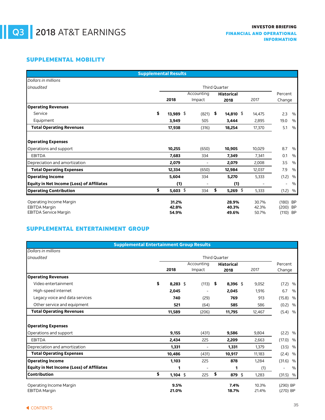

#### SUPPLEMENTAL MOBILITY **Supplemental Mobility**

|                                                  | <b>Supplemental Results</b> |                      |            |                   |        |                          |               |  |  |
|--------------------------------------------------|-----------------------------|----------------------|------------|-------------------|--------|--------------------------|---------------|--|--|
| Dollars in millions                              |                             |                      |            |                   |        |                          |               |  |  |
| <b>Unaudited</b>                                 |                             | <b>Third Quarter</b> |            |                   |        |                          |               |  |  |
|                                                  |                             |                      | Accounting | <b>Historical</b> |        | Percent                  |               |  |  |
|                                                  |                             | 2018                 | Impact     | 2018              | 2017   | Change                   |               |  |  |
| <b>Operating Revenues</b>                        |                             |                      |            |                   |        |                          |               |  |  |
| Service                                          | \$                          | 13,989 \$            | $(821)$ \$ | 14,810 $$$        | 14,475 | 2.3                      | $\%$          |  |  |
| Equipment                                        |                             | 3,949                | 505        | 3,444             | 2,895  | 19.0                     | %             |  |  |
| <b>Total Operating Revenues</b>                  |                             | 17,938               | (316)      | 18,254            | 17,370 | 5.1                      | $\%$          |  |  |
| <b>Operating Expenses</b>                        |                             |                      |            |                   |        |                          |               |  |  |
| Operations and support                           |                             | 10,255               | (650)      | 10,905            | 10.029 | 8.7                      | $\%$          |  |  |
| <b>EBITDA</b>                                    |                             | 7,683                | 334        | 7,349             | 7,341  | 0.1                      | $\frac{0}{0}$ |  |  |
| Depreciation and amortization                    |                             | 2,079                |            | 2,079             | 2,008  | 3.5                      | $\frac{0}{0}$ |  |  |
| <b>Total Operating Expenses</b>                  |                             | 12,334               | (650)      | 12,984            | 12,037 | 7.9                      | $\frac{0}{0}$ |  |  |
| <b>Operating Income</b>                          |                             | 5,604                | 334        | 5,270             | 5,333  | (1.2)                    | $\%$          |  |  |
| <b>Equity in Net Income (Loss) of Affiliates</b> |                             | (1)                  |            | (1)               |        | $\overline{\phantom{a}}$ | %             |  |  |
| <b>Operating Contribution</b>                    | \$                          | 5,603 $$$            | 334        | \$<br>5,269 $$$   | 5,333  | $(1.2)$ %                |               |  |  |
| Operating Income Margin                          |                             | 31.2%                |            | 28.9%             | 30.7%  | (180)                    | <b>BP</b>     |  |  |
| <b>EBITDA Margin</b>                             |                             | 42.8%                |            | 40.3%             | 42.3%  | (200)                    | BP            |  |  |
| <b>EBITDA Service Margin</b>                     |                             | 54.9%                |            | 49.6%             | 50.7%  | (110)                    | <b>BP</b>     |  |  |

#### SUPPLEMENTAL ENTERTAINMENT GROUP **Supplemental Entertainment Group Supplemental Entertainment Group**

|                                                  | <b>Supplemental Entertainment Group Results</b> |            |               |                   |        |            |               |
|--------------------------------------------------|-------------------------------------------------|------------|---------------|-------------------|--------|------------|---------------|
| Dollars in millions                              |                                                 |            |               |                   |        |            |               |
| <b>Unaudited</b>                                 |                                                 |            | Third Quarter |                   |        |            |               |
|                                                  |                                                 |            | Accounting    | <b>Historical</b> |        | Percent    |               |
|                                                  |                                                 | 2018       | Impact        | 2018              | 2017   | Change     |               |
| <b>Operating Revenues</b>                        |                                                 |            |               |                   |        |            |               |
| Video entertainment                              | \$                                              | 8.283 \$   | (113)         | \$<br>8.396 \$    | 9,052  | (7.2)      | $\%$          |
| High-speed internet                              |                                                 | 2,045      |               | 2,045             | 1,916  | 6.7        | %             |
| Legacy voice and data services                   |                                                 | 740        | (29)          | 769               | 913    | (15.8)     | %             |
| Other service and equipment                      |                                                 | 521        | (64)          | 585               | 586    | (0.2)      | %             |
| <b>Total Operating Revenues</b>                  |                                                 | 11,589     | (206)         | 11,795            | 12,467 | (5.4)      | %             |
| <b>Operating Expenses</b>                        |                                                 |            |               |                   |        |            |               |
| Operations and support                           |                                                 | 9,155      | (431)         | 9,586             | 9,804  | (2.2)      | %             |
| <b>EBITDA</b>                                    |                                                 | 2,434      | 225           | 2,209             | 2,663  | (17.0)     | %             |
| Depreciation and amortization                    |                                                 | 1,331      |               | 1,331             | 1,379  | (3.5)      | %             |
| <b>Total Operating Expenses</b>                  |                                                 | 10,486     | (431)         | 10,917            | 11,183 | (2.4)      | %             |
| <b>Operating Income</b>                          |                                                 | 1,103      | 225           | 878               | 1,284  | (31.6)     | %             |
| <b>Equity in Net Income (Loss) of Affiliates</b> |                                                 | 1          |               | 1                 | (1)    |            | $\frac{0}{0}$ |
| <b>Contribution</b>                              | \$                                              | $1,104$ \$ | 225           | \$<br>\$<br>879   | 1,283  | $(31.5)$ % |               |
| Operating Income Margin                          |                                                 | 9.5%       |               | 7.4%              | 10.3%  | (290) BP   |               |
| <b>EBITDA Margin</b>                             |                                                 | 21.0%      |               | 18.7%             | 21.4%  | (270) BP   |               |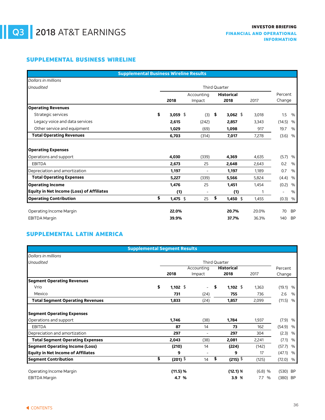

#### SUPPLEMENTAL BUSINESS WIRELINE **Supplemental Business Wireline Supplemental Business Wireline**

| <b>Supplemental Business Wireline Results</b>    |                      |                          |                   |       |         |               |  |  |  |
|--------------------------------------------------|----------------------|--------------------------|-------------------|-------|---------|---------------|--|--|--|
| Dollars in millions                              |                      |                          |                   |       |         |               |  |  |  |
| <b>Unaudited</b>                                 | <b>Third Quarter</b> |                          |                   |       |         |               |  |  |  |
|                                                  |                      | Accounting               | <b>Historical</b> |       | Percent |               |  |  |  |
|                                                  | 2018                 | Impact                   | 2018              | 2017  | Change  |               |  |  |  |
| <b>Operating Revenues</b>                        |                      |                          |                   |       |         |               |  |  |  |
| \$<br>Strategic services                         | 3,059 $$$            | (3)                      | \$<br>3.062 \$    | 3.018 | 1.5     | $\%$          |  |  |  |
| Legacy voice and data services                   | 2,615                | (242)                    | 2,857             | 3,343 | (14.5)  | %             |  |  |  |
| Other service and equipment                      | 1,029                | (69)                     | 1,098             | 917   | 19.7    | $\%$          |  |  |  |
| <b>Total Operating Revenues</b>                  | 6,703                | (314)                    | 7,017             | 7,278 | (3.6)   | $\%$          |  |  |  |
| <b>Operating Expenses</b>                        |                      |                          |                   |       |         |               |  |  |  |
| Operations and support                           | 4,030                | (339)                    | 4,369             | 4,635 | (5.7)   | %             |  |  |  |
| <b>EBITDA</b>                                    | 2,673                | 25                       | 2,648             | 2,643 | 0.2     | %             |  |  |  |
| Depreciation and amortization                    | 1,197                | $\overline{\phantom{0}}$ | 1,197             | 1,189 | 0.7     | $\%$          |  |  |  |
| <b>Total Operating Expenses</b>                  | 5,227                | (339)                    | 5,566             | 5.824 | (4.4)   | $\%$          |  |  |  |
| <b>Operating Income</b>                          | 1,476                | 25                       | 1,451             | 1,454 | (0.2)   | %             |  |  |  |
| <b>Equity in Net Income (Loss) of Affiliates</b> | (1)                  | $\overline{\phantom{0}}$ |                   | (1)   |         | $\frac{0}{0}$ |  |  |  |
| \$<br><b>Operating Contribution</b>              | $1,475$ \$           | 25                       | \$<br>1,450 $$$   | 1,455 | (0.3)   | %             |  |  |  |
| Operating Income Margin                          | 22.0%                |                          | 20.7%             | 20.0% | 70      | <b>BP</b>     |  |  |  |
| <b>EBITDA Margin</b>                             | 39.9%                |                          | 37.7%             | 36.3% | 140     | <b>BP</b>     |  |  |  |

#### SUPPLEMENTAL LATIN AMERICA **Supplemental Latin America Supplemental Latin America**

|                                           | <b>Supplemental Segment Results</b> |            |               |                   |           |                |
|-------------------------------------------|-------------------------------------|------------|---------------|-------------------|-----------|----------------|
| Dollars in millions                       |                                     |            |               |                   |           |                |
| <b>Unaudited</b>                          |                                     |            | Third Quarter |                   |           |                |
|                                           |                                     |            | Accounting    | <b>Historical</b> |           | Percent        |
|                                           |                                     | 2018       | Impact        | 2018              | 2017      | Change         |
| <b>Segment Operating Revenues</b>         |                                     |            |               |                   |           |                |
| Vrio                                      | \$                                  | $1,102$ \$ |               | \$<br>1,102 $$$   | 1,363     | (19.1)<br>%    |
| Mexico                                    |                                     | 731        | (24)          | 755               | 736       | 2.6<br>$\%$    |
| <b>Total Segment Operating Revenues</b>   |                                     | 1,833      | (24)          | 1,857             | 2,099     | (11.5)<br>$\%$ |
| <b>Segment Operating Expenses</b>         |                                     |            |               |                   |           |                |
| Operations and support                    |                                     | 1,746      | (38)          | 1,784             | 1,937     | (7.9)<br>%     |
| <b>EBITDA</b>                             |                                     | 87         | 14            | 73                | 162       | $(54.9)$ %     |
| Depreciation and amortization             |                                     | 297        |               | 297               | 304       | (2.3)<br>$\%$  |
| <b>Total Segment Operating Expenses</b>   |                                     | 2,043      | (38)          | 2,081             | 2,241     | (7.1)<br>%     |
| <b>Segment Operating Income (Loss)</b>    |                                     | (210)      | 14            | (224)             | (142)     | (57.7)<br>$\%$ |
| <b>Equity in Net Income of Affiliates</b> |                                     | 9          |               | 9                 | 17        | (47.1)<br>%    |
| <b>Segment Contribution</b>               | \$                                  | $(201)$ \$ | 14            | \$<br>$(215)$ \$  | (125)     | $(72.0)$ %     |
| Operating Income Margin                   |                                     | (11.5) %   |               | $(12.1)$ %        | $(6.8)$ % | (530) BP       |
| <b>EBITDA Margin</b>                      |                                     | 4.7 %      |               | 3.9<br>9⁄         | 7.7 %     | (380) BP       |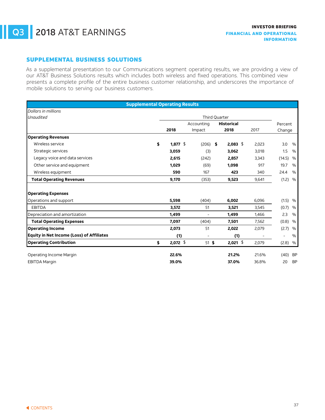

#### SUPPLEMENTAL BUSINESS SOLUTIONS

As a supplemental presentation to our Communications segment operating results, we are providing a view of our AT&T Business Solutions results which includes both wireless and fixed operations. This combined view presents a complete profile of the entire business customer relationship, and underscores the importance of mobile solutions to serving our business customers.

|                                                  | <b>Supplemental Operating Results</b> |            |                |                      |       |           |           |
|--------------------------------------------------|---------------------------------------|------------|----------------|----------------------|-------|-----------|-----------|
| Dollars in millions                              |                                       |            |                |                      |       |           |           |
| <b>Unaudited</b>                                 |                                       |            |                | <b>Third Quarter</b> |       |           |           |
|                                                  |                                       |            | Accounting     | <b>Historical</b>    |       | Percent   |           |
|                                                  |                                       | 2018       | Impact         | 2018                 | 2017  | Change    |           |
| <b>Operating Revenues</b>                        |                                       |            |                |                      |       |           |           |
| Wireless service                                 | \$                                    | 1,877 $$$  | $(206)$ \$     | 2,083 \$             | 2,023 | 3.0       | $\%$      |
| Strategic services                               |                                       | 3,059      | (3)            | 3,062                | 3,018 | 1.5       | $\%$      |
| Legacy voice and data services                   |                                       | 2,615      | (242)          | 2,857                | 3,343 | (14.5)    | %         |
| Other service and equipment                      |                                       | 1,029      | (69)           | 1,098                | 917   | 19.7      | $\%$      |
| Wireless equipment                               |                                       | 590        | 167            | 423                  | 340   | 24.4      | $\%$      |
| <b>Total Operating Revenues</b>                  |                                       | 9,170      | (353)          | 9,523                | 9,641 | (1.2)     | $\%$      |
|                                                  |                                       |            |                |                      |       |           |           |
| <b>Operating Expenses</b>                        |                                       |            |                |                      |       |           |           |
| Operations and support                           |                                       | 5,598      | (404)          | 6,002                | 6,096 | $(1.5)$ % |           |
| <b>EBITDA</b>                                    |                                       | 3,572      | 51             | 3,521                | 3,545 | (0.7)     | %         |
| Depreciation and amortization                    |                                       | 1,499      | $\overline{a}$ | 1,499                | 1,466 | 2.3       | $\%$      |
| <b>Total Operating Expenses</b>                  |                                       | 7,097      | (404)          | 7,501                | 7,562 | (0.8)     | %         |
| <b>Operating Income</b>                          |                                       | 2,073      | 51             | 2,022                | 2,079 | (2.7)     | %         |
| <b>Equity in Net Income (Loss) of Affiliates</b> |                                       | (1)        |                | (1)                  |       |           | $\%$      |
| <b>Operating Contribution</b>                    | \$                                    | $2,072$ \$ | $51$ \$        | 2,021 $$$            | 2,079 | (2.8)     | %         |
| Operating Income Margin                          |                                       | 22.6%      |                | 21.2%                | 21.6% | (40)      | <b>BP</b> |
| <b>EBITDA Margin</b>                             |                                       | 39.0%      |                | 37.0%                | 36.8% | 20        | <b>BP</b> |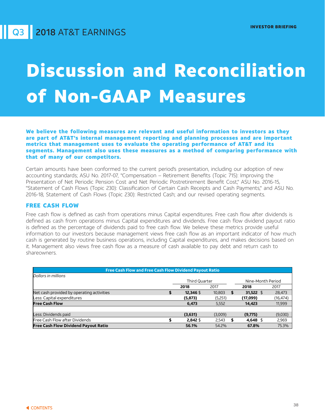## **Discussion and Reco** Discussion and Reconciliation of Non-GAAP Measures

We believe the following measures are relevant and useful information to investors as they are part of AT&T's internal management reporting and planning processes and are important metrics that management uses to evaluate the operating performance of AT&T and its **Discussion and Reconciliation of Non-GAAP Measures**  segments. Management also uses these measures as a method of comparing performance with that of many of our competitors. The following measures are relevant and useful information to investors and u management reporting and planning processes and are important metrics that management uses to evaluate the operating

Certain amounts have been conformed to the current period's presentation, including our adoption of new accounting standards; ASU No. 2017-07, "Compensation – Retirement Benefits (Topic 715): Improving the Presentation of Net Periodic Pension Cost and Net Periodic Postretirement Benefit Cost," ASU No. 2016-15, "Statement of Cash Flows (Topic 230): Classification of Certain Cash Receipts and Cash Payments," and ASU No. Statement of Cash Hows (Topic 230): Classification of Certain Cash Receipts and Cash Fayments, and Aso Re<br>2016-18, Statement of Cash Flows (Topic 230): Restricted Cash; and our revised operating segments. Pend, Statement Or Cash Flows (Topic LSO). Restricted Cash, and our revised operating segments.

#### FREE CASH FLOW THE CASH RECEIPTS AND CASH PAYMENTS," AND ASU NO. 2016-18, STATEMENTS, STATEMENTS, STATEMENTS, STATEMENTS,  $\mathcal{L}(\mathbf{X}, \mathbf{Y}) = \mathcal{L}(\mathbf{X}, \mathbf{Y})$ : STATEMENTS, STATEMENTS, STATEMENTS, STATEMENTS, STATEMENTS,

Free cash flow is defined as cash from operations minus Capital expenditures. Free cash flow after dividends is defined as cash from operations minus Capital expenditures and dividends. Free cash flow dividend payout ratio **Free Cash Flow** is defined as the percentage of dividends paid to free cash flow. We believe these metrics provide useful information to our investors because management views free cash flow as an important indicator of how much cash is generated by routine business operations, including Capital expenditures, and makes decisions based on the Management also views free cash flow as a measure of cash available to pay debt and return cash to shareowners. ľ management views free cash flow as an important indicator of how much cash is generated by routine business operations, including  $C$  and makes decisions based on it. Management also views free cash flow as a measure of cash flow as a measure of cash flow as a measure of cash flow as a measure of cash flow as a measure of cash flow as a me

| <b>Free Cash Flow and Free Cash Flow Dividend Payout Ratio</b> |  |               |         |  |                   |          |  |  |  |
|----------------------------------------------------------------|--|---------------|---------|--|-------------------|----------|--|--|--|
| Dollars in millions                                            |  |               |         |  |                   |          |  |  |  |
|                                                                |  | Third Quarter |         |  | Nine-Month Period |          |  |  |  |
|                                                                |  | 2018          | 2017    |  | 2018              | 2017     |  |  |  |
| Net cash provided by operating activities                      |  | 12.346 $$$    | 10,803  |  | 31,522 $$$        | 28,473   |  |  |  |
| Less: Capital expenditures                                     |  | (5, 873)      | (5,251) |  | (17,099)          | (16,474) |  |  |  |
| <b>Free Cash Flow</b>                                          |  | 6,473         | 5,552   |  | 14.423            | 11,999   |  |  |  |
|                                                                |  |               |         |  |                   |          |  |  |  |
| Less: Dividends paid                                           |  | (3,631)       | (3,009) |  | (9,775)           | (9,030)  |  |  |  |
| Free Cash Flow after Dividends                                 |  | $2,842$ \$    | 2,543   |  | 4,648 \$          | 2,969    |  |  |  |
| <b>Free Cash Flow Dividend Payout Ratio</b>                    |  | 56.1%         | 54.2%   |  | 67.8%             | 75.3%    |  |  |  |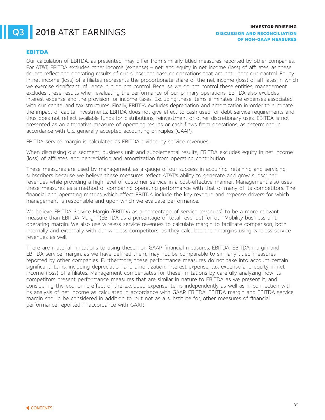

#### EBITDA

Our calculation of EBITDA, as presented, may differ from similarly titled measures reported by other companies. For AT&T, EBITDA excludes other income (expense) – net, and equity in net income (loss) of affiliates, as these do not reflect the operating results of our subscriber base or operations that are not under our control. Equity in net income (loss) of affiliates represents the proportionate share of the net income (loss) of affiliates in which we exercise significant influence, but do not control. Because we do not control these entities, management excludes these results when evaluating the performance of our primary operations. EBITDA also excludes interest expense and the provision for income taxes. Excluding these items eliminates the expenses associated with our capital and tax structures. Finally, EBITDA excludes depreciation and amortization in order to eliminate the impact of capital investments. EBITDA does not give effect to cash used for debt service requirements and thus does not reflect available funds for distributions, reinvestment or other discretionary uses. EBITDA is not presented as an alternative measure of operating results or cash flows from operations, as determined in accordance with U.S. generally accepted accounting principles (GAAP).

EBITDA service margin is calculated as EBITDA divided by service revenues.

When discussing our segment, business unit and supplemental results, EBITDA excludes equity in net income (loss) of affiliates, and depreciation and amortization from operating contribution.

These measures are used by management as a gauge of our success in acquiring, retaining and servicing subscribers because we believe these measures reflect AT&T's ability to generate and grow subscriber revenues while providing a high level of customer service in a cost-effective manner. Management also uses these measures as a method of comparing operating performance with that of many of its competitors. The financial and operating metrics which affect EBITDA include the key revenue and expense drivers for which management is responsible and upon which we evaluate performance.

We believe EBITDA Service Margin (EBITDA as a percentage of service revenues) to be a more relevant measure than EBITDA Margin (EBITDA as a percentage of total revenue) for our Mobility business unit operating margin. We also use wireless service revenues to calculate margin to facilitate comparison, both internally and externally with our wireless competitors, as they calculate their margins using wireless service revenues as well.

There are material limitations to using these non-GAAP financial measures. EBITDA, EBITDA margin and EBITDA service margin, as we have defined them, may not be comparable to similarly titled measures reported by other companies. Furthermore, these performance measures do not take into account certain significant items, including depreciation and amortization, interest expense, tax expense and equity in net income (loss) of affiliates. Management compensates for these limitations by carefully analyzing how its competitors present performance measures that are similar in nature to EBITDA as we present it, and considering the economic effect of the excluded expense items independently as well as in connection with its analysis of net income as calculated in accordance with GAAP. EBITDA, EBITDA margin and EBITDA service margin should be considered in addition to, but not as a substitute for, other measures of financial performance reported in accordance with GAAP.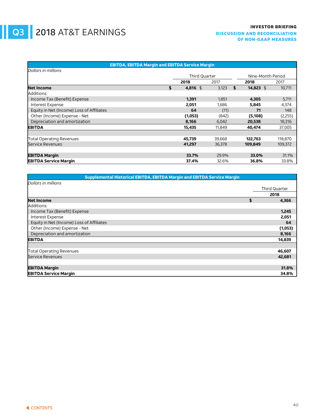

| <b>EBITDA, EBITDA Margin and EBITDA Service Margin</b> |                      |        |                 |                   |
|--------------------------------------------------------|----------------------|--------|-----------------|-------------------|
| Dollars in millions                                    |                      |        |                 |                   |
|                                                        | <b>Third Quarter</b> |        |                 | Nine-Month Period |
|                                                        | 2018                 | 2017   | 2018            | 2017              |
| <b>Net Income</b>                                      | \$<br>4,816 $$$      | 3,123  | 14,823 \$<br>\$ | 10,711            |
| Additions:                                             |                      |        |                 |                   |
| Income Tax (Benefit) Expense                           | 1,391                | 1,851  | 4,305           | 5,711             |
| Interest Expense                                       | 2,051                | 1,686  | 5,845           | 4,374             |
| Equity in Net (Income) Loss of Affiliates              | 64                   | (11)   | 71              | 148               |
| Other (Income) Expense - Net                           | (1,053)              | (842)  | (5, 108)        | (2,255)           |
| Depreciation and amortization                          | 8,166                | 6,042  | 20,538          | 18,316            |
| <b>EBITDA</b>                                          | 15,435               | 11,849 | 40,474          | 37,005            |
|                                                        |                      |        |                 |                   |
| <b>Total Operating Revenues</b>                        | 45,739               | 39,668 | 122,763         | 118,870           |
| Service Revenues                                       | 41,297               | 36,378 | 109,849         | 109,372           |
|                                                        |                      |        |                 |                   |
| <b>EBITDA Margin</b>                                   | 33.7%                | 29.9%  | 33.0%           | 31.1%             |
| <b>EBITDA Service Margin</b>                           | 37.4%                | 32.6%  | 36.8%           | 33.8%             |

| Supplemental Historical EBITDA, EBITDA Margin and EBITDA Service Margin |               |
|-------------------------------------------------------------------------|---------------|
| Dollars in millions                                                     |               |
|                                                                         | Third Quarter |
|                                                                         | 2018          |
| <b>Net Income</b>                                                       | \$<br>4,366   |
| Additions:                                                              |               |
| Income Tax (Benefit) Expense                                            | 1,245         |
| Interest Expense                                                        | 2,051         |
| Equity in Net (Income) Loss of Affiliates                               | 64            |
| Other (Income) Expense - Net                                            | (1,053)       |
| Depreciation and amortization                                           | 8,166         |
| <b>EBITDA</b>                                                           | 14,839        |
|                                                                         |               |
| <b>Total Operating Revenues</b>                                         | 46,607        |
| <b>Service Revenues</b>                                                 | 42,681        |
|                                                                         |               |
| <b>EBITDA Margin</b>                                                    | 31.8%         |
| <b>EBITDA Service Margin</b>                                            | 34.8%         |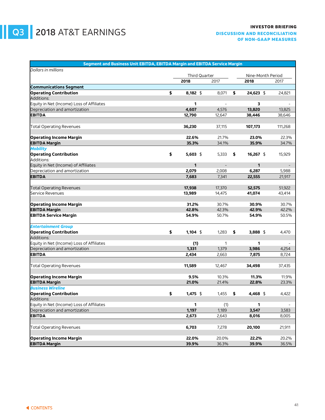

| Segment and Business Unit EBITDA, EBITDA Margin and EBITDA Service Margin |                  |                          |    |                   |                          |
|---------------------------------------------------------------------------|------------------|--------------------------|----|-------------------|--------------------------|
| Dollars in millions                                                       |                  |                          |    |                   |                          |
|                                                                           | Third Quarter    |                          |    | Nine-Month Period |                          |
|                                                                           | 2018             | 2017                     |    | 2018              | 2017                     |
| <b>Communications Segment</b>                                             |                  |                          |    |                   |                          |
| <b>Operating Contribution</b>                                             | \$<br>8,182 \$   | 8,071                    | \$ | 24,623 \$         | 24,821                   |
| <b>Additions:</b>                                                         |                  |                          |    |                   |                          |
| Equity in Net (Income) Loss of Affiliates                                 | 1                | $\overline{\phantom{a}}$ |    | 3                 |                          |
| Depreciation and amortization                                             | 4,607            | 4,576                    |    | 13,820            | 13,825                   |
| <b>EBITDA</b>                                                             | 12,790           | 12,647                   |    | 38,446            | 38,646                   |
|                                                                           |                  |                          |    |                   |                          |
| <b>Total Operating Revenues</b>                                           | 36,230           | 37,115                   |    | 107,173           | 111,268                  |
|                                                                           |                  |                          |    |                   |                          |
| <b>Operating Income Margin</b>                                            | 22.6%            | 21.7%                    |    | 23.0%             | 22.3%                    |
| <b>EBITDA Margin</b>                                                      | 35.3%            | 34.1%                    |    | 35.9%             | 34.7%                    |
| <b>Mobility</b>                                                           |                  |                          |    |                   |                          |
| <b>Operating Contribution</b>                                             | \$<br>5,603 \$   | 5,333                    | \$ | 16,267 \$         | 15,929                   |
| Additions:                                                                |                  |                          |    |                   |                          |
| Equity in Net (Income) of Affiliates                                      | 1                |                          |    | 1                 | $\overline{\phantom{a}}$ |
| Depreciation and amortization                                             | 2,079            | 2,008                    |    | 6,287             | 5,988                    |
| <b>EBITDA</b>                                                             | 7,683            | 7,341                    |    | 22,555            | 21,917                   |
|                                                                           |                  |                          |    |                   |                          |
| <b>Total Operating Revenues</b>                                           | 17,938           | 17,370                   |    | 52,575            | 51,922                   |
| Service Revenues                                                          | 13,989           | 14,475                   |    | 41,074            | 43,414                   |
|                                                                           |                  |                          |    |                   |                          |
| <b>Operating Income Margin</b>                                            | 31.2%            | 30.7%                    |    | 30.9%             | 30.7%                    |
| <b>EBITDA Margin</b>                                                      | 42.8%            | 42.3%                    |    | 42.9%             | 42.2%                    |
| <b>EBITDA Service Margin</b>                                              | 54.9%            | 50.7%                    |    | 54.9%             | 50.5%                    |
| <b>Entertainment Group</b>                                                |                  |                          |    |                   |                          |
| <b>Operating Contribution</b>                                             | \$<br>$1,104$ \$ | 1,283                    | \$ | 3,888 $$$         | 4,470                    |
| <b>Additions:</b>                                                         |                  |                          |    |                   |                          |
| Equity in Net (Income) Loss of Affiliates                                 | (1)              | 1                        |    | 1                 |                          |
| Depreciation and amortization                                             | 1,331            | 1,379                    |    | 3,986             | 4,254                    |
| <b>EBITDA</b>                                                             | 2,434            | 2,663                    |    | 7,875             | 8,724                    |
|                                                                           |                  |                          |    |                   |                          |
| <b>Total Operating Revenues</b>                                           | 11,589           | 12,467                   |    | 34,498            | 37,435                   |
|                                                                           |                  |                          |    |                   |                          |
| <b>Operating Income Margin</b>                                            | 9.5%             | 10.3%                    |    | 11.3%             | 11.9%                    |
| <b>EBITDA Margin</b>                                                      | 21.0%            | 21.4%                    |    | 22.8%             | 23.3%                    |
| <b>Business Wireline</b>                                                  |                  |                          |    |                   |                          |
| <b>Operating Contribution</b>                                             | \$<br>1,475 $$$  | 1,455                    | \$ | 4,468 \$          | 4,422                    |
| <b>Additions:</b>                                                         |                  |                          |    |                   |                          |
| Equity in Net (Income) Loss of Affiliates                                 | 1                | (1)                      |    | 1                 |                          |
| Depreciation and amortization                                             | 1,197            | 1,189                    |    | 3,547             | 3,583                    |
| <b>EBITDA</b>                                                             | 2,673            | 2,643                    |    | 8,016             | 8,005                    |
|                                                                           |                  |                          |    |                   |                          |
| <b>Total Operating Revenues</b>                                           | 6,703            | 7,278                    |    | 20,100            | 21,911                   |
|                                                                           |                  |                          |    |                   |                          |
| <b>Operating Income Margin</b>                                            | 22.0%            | 20.0%                    |    | 22.2%             | 20.2%                    |
| <b>EBITDA Margin</b>                                                      | 39.9%            | 36.3%                    |    | 39.9%             | 36.5%                    |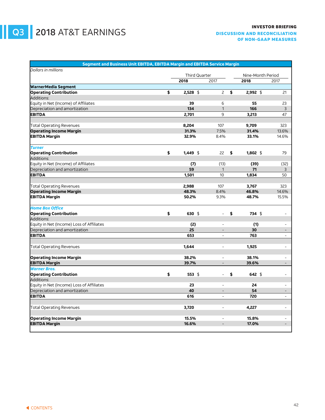| Segment and Business Unit EBITDA, EBITDA Margin and EBITDA Service Margin |                  |                          |                   |                          |
|---------------------------------------------------------------------------|------------------|--------------------------|-------------------|--------------------------|
| Dollars in millions                                                       |                  |                          |                   |                          |
|                                                                           | Third Quarter    |                          | Nine-Month Period |                          |
|                                                                           | 2018             | 2017                     | 2018              | 2017                     |
| <b>WarnerMedia Segment</b>                                                |                  |                          |                   |                          |
| <b>Operating Contribution</b>                                             | \$<br>2,528 \$   | 2                        | \$<br>2,992 \$    | 21                       |
| Additions:                                                                |                  |                          |                   |                          |
| Equity in Net (Income) of Affiliates                                      | 39               | 6                        | 55                | 23                       |
| Depreciation and amortization                                             | 134              | 1                        | 166               | 3                        |
| <b>EBITDA</b>                                                             | 2,701            | 9                        | 3,213             | 47                       |
|                                                                           |                  |                          |                   |                          |
| <b>Total Operating Revenues</b>                                           | 8,204            | 107                      | 9,709             | 323                      |
| <b>Operating Income Margin</b>                                            | 31.3%            | 7.5%                     | 31.4%             | 13.6%                    |
| <b>EBITDA Margin</b>                                                      | 32.9%            | 8.4%                     | 33.1%             | 14.6%                    |
| <b>Turner</b>                                                             |                  |                          |                   |                          |
| <b>Operating Contribution</b>                                             | \$<br>$1,449$ \$ | 22                       | \$<br>1,802 $$$   | 79                       |
| Additions:                                                                |                  |                          |                   |                          |
| Equity in Net (Income) of Affiliates                                      | (7)              | (13)                     | (39)              | (32)                     |
| Depreciation and amortization                                             | 59               | 1                        | 71                | 3                        |
| <b>EBITDA</b>                                                             | 1,501            | 10                       | 1,834             | 50                       |
| <b>Total Operating Revenues</b>                                           | 2,988            | 107                      | 3,767             | 323                      |
| <b>Operating Income Margin</b>                                            | 48.3%            | 8.4%                     | 46.8%             | 14.6%                    |
| <b>EBITDA Margin</b>                                                      | 50.2%            | 9.3%                     | 48.7%             | 15.5%                    |
|                                                                           |                  |                          |                   |                          |
| <b>Home Box Office</b>                                                    |                  |                          |                   |                          |
| <b>Operating Contribution</b>                                             | \$<br>630 \$     |                          | \$<br>$734$ \$    |                          |
| Additions:                                                                |                  |                          |                   |                          |
| Equity in Net (Income) Loss of Affiliates                                 | (2)              |                          | (1)               | $\equiv$                 |
| Depreciation and amortization                                             | 25               |                          | 30                |                          |
| <b>EBITDA</b>                                                             | 653              | $\overline{\phantom{a}}$ | 763               | $\equiv$                 |
| <b>Total Operating Revenues</b>                                           | 1,644            | $\overline{a}$           | 1,925             |                          |
| <b>Operating Income Margin</b>                                            | 38.2%            | $\overline{a}$           | 38.1%             |                          |
| <b>EBITDA Margin</b>                                                      | 39.7%            |                          | 39.6%             | $\overline{\phantom{a}}$ |
| <b>Warner Bros.</b>                                                       |                  |                          |                   |                          |
| <b>Operating Contribution</b>                                             | \$<br>553 $$$    |                          | \$<br>642 $$$     | $\overline{a}$           |
| Additions:                                                                |                  |                          |                   |                          |
| Equity in Net (Income) Loss of Affiliates                                 | 23               |                          | 24                |                          |
| Depreciation and amortization                                             | 40               | $\overline{a}$           | 54                |                          |
| <b>EBITDA</b>                                                             | 616              |                          | 720               |                          |
| <b>Total Operating Revenues</b>                                           | 3,720            | $\overline{a}$           | 4,227             | $\overline{a}$           |
| <b>Operating Income Margin</b>                                            | 15.5%            |                          | 15.8%             |                          |
| <b>EBITDA Margin</b>                                                      | 16.6%            |                          | 17.0%             | $\overline{\phantom{a}}$ |
|                                                                           |                  |                          |                   |                          |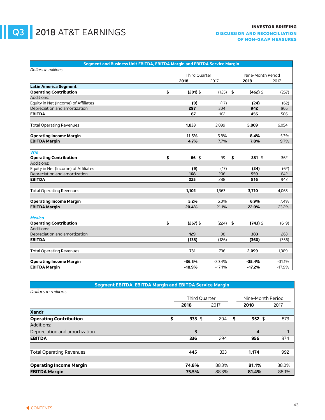| Segment and Business Unit EBITDA, EBITDA Margin and EBITDA Service Margin |               |          |      |                   |          |
|---------------------------------------------------------------------------|---------------|----------|------|-------------------|----------|
| Dollars in millions                                                       |               |          |      |                   |          |
|                                                                           | Third Quarter |          |      | Nine-Month Period |          |
|                                                                           | 2018          | 2017     |      | 2018              | 2017     |
| <b>Latin America Segment</b>                                              |               |          |      |                   |          |
| <b>Operating Contribution</b><br>\$                                       | $(201)$ \$    | (125)    | - \$ | $(462)$ \$        | (257)    |
| Additions:                                                                |               |          |      |                   |          |
| Equity in Net (Income) of Affiliates                                      | (9)           | (17)     |      | (24)              | (62)     |
| Depreciation and amortization                                             | 297           | 304      |      | 942               | 905      |
| <b>EBITDA</b>                                                             | 87            | 162      |      | 456               | 586      |
|                                                                           |               |          |      |                   |          |
| <b>Total Operating Revenues</b>                                           | 1,833         | 2,099    |      | 5,809             | 6,054    |
|                                                                           |               |          |      |                   |          |
| <b>Operating Income Margin</b>                                            | $-11.5%$      | $-6.8%$  |      | $-8.4%$           | $-5.3%$  |
| <b>EBITDA Margin</b>                                                      | 4.7%          | 7.7%     |      | 7.8%              | 9.7%     |
|                                                                           |               |          |      |                   |          |
| <b>Vrio</b>                                                               |               |          |      |                   |          |
| \$<br><b>Operating Contribution</b>                                       | 66 \$         | 99       | \$   | $281$ \$          | 362      |
| Additions:                                                                |               |          |      |                   |          |
| Equity in Net (Income) of Affiliates                                      | (9)           | (17)     |      | (24)              | (62)     |
| Depreciation and amortization                                             | 168           | 206      |      | 559               | 642      |
| <b>EBITDA</b>                                                             | 225           | 288      |      | 816               | 942      |
|                                                                           |               |          |      |                   |          |
| <b>Total Operating Revenues</b>                                           | 1,102         | 1,363    |      | 3,710             | 4,065    |
|                                                                           |               |          |      |                   |          |
| <b>Operating Income Margin</b>                                            | 5.2%          | 6.0%     |      | 6.9%              | 7.4%     |
| <b>EBITDA Margin</b>                                                      | 20.4%         | 21.1%    |      | 22.0%             | 23.2%    |
|                                                                           |               |          |      |                   |          |
| <b>Mexico</b>                                                             |               |          |      |                   |          |
| \$<br><b>Operating Contribution</b>                                       | $(267)$ \$    | (224)    | - \$ | $(743)$ \$        | (619)    |
| Additions:                                                                |               |          |      |                   |          |
| Depreciation and amortization                                             | 129           | 98       |      | 383               | 263      |
| <b>EBITDA</b>                                                             | (138)         | (126)    |      | (360)             | (356)    |
|                                                                           |               |          |      |                   |          |
| <b>Total Operating Revenues</b>                                           | 731           | 736      |      | 2,099             | 1,989    |
|                                                                           |               |          |      |                   |          |
| <b>Operating Income Margin</b>                                            | $-36.5%$      | $-30.4%$ |      | $-35.4%$          | $-31.1%$ |
| <b>EBITDA Margin</b>                                                      | $-18.9%$      | $-17.1%$ |      | $-17.2%$          | $-17.9%$ |

| <b>Segment EBITDA, EBITDA Margin and EBITDA Service Margin</b> |                      |                          |                   |       |  |  |  |  |  |  |  |
|----------------------------------------------------------------|----------------------|--------------------------|-------------------|-------|--|--|--|--|--|--|--|
| Dollars in millions                                            |                      |                          |                   |       |  |  |  |  |  |  |  |
|                                                                | <b>Third Quarter</b> |                          | Nine-Month Period |       |  |  |  |  |  |  |  |
|                                                                | 2018                 | 2017                     | 2018              | 2017  |  |  |  |  |  |  |  |
| Xandr                                                          |                      |                          |                   |       |  |  |  |  |  |  |  |
| <b>Operating Contribution</b><br>\$                            | 333<br>\$            | 294                      | 952 $$$<br>\$     | 873   |  |  |  |  |  |  |  |
| Additions:                                                     |                      |                          |                   |       |  |  |  |  |  |  |  |
| Depreciation and amortization                                  | 3                    | $\overline{\phantom{0}}$ | $\boldsymbol{4}$  |       |  |  |  |  |  |  |  |
| <b>EBITDA</b>                                                  | 336                  | 294                      | 956               | 874   |  |  |  |  |  |  |  |
|                                                                |                      |                          |                   |       |  |  |  |  |  |  |  |
| <b>Total Operating Revenues</b>                                | 445                  | 333                      | 1,174             | 992   |  |  |  |  |  |  |  |
|                                                                |                      |                          |                   |       |  |  |  |  |  |  |  |
| <b>Operating Income Margin</b>                                 | 74.8%                | 88.3%                    | 81.1%             | 88.0% |  |  |  |  |  |  |  |
| <b>EBITDA Margin</b>                                           | 75.5%                | 88.3%                    | 81.4%             | 88.1% |  |  |  |  |  |  |  |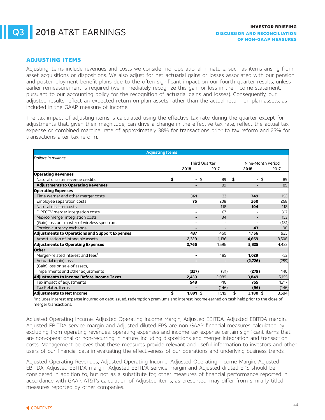

#### ADJUSTING ITEMS

Adjusting items include revenues and costs we consider nonoperational in nature, such as items arising from asset acquisitions or dispositions. We also adjust for net actuarial gains or losses associated with our pension and postemployment benefit plans due to the often significant impact on our fourth-quarter results, unless earlier remeasurement is required (we immediately recognize this gain or loss in the income statement, pursuant to our accounting policy for the recognition of actuarial gains and losses). Consequently, our adjusted results reflect an expected return on plan assets rather than the actual return on plan assets, as included in the GAAP measure of income. This gain or loss income statement, pursuant to our accounting policy for the recognition of the recognition of the recognition of the recognition of the recognition of the recogniti

The tax impact of adjusting items is calculated using the effective tax rate during the quarter except for adjustments that, given their magnitude, can drive a change in the effective tax rate, reflect the actual tax expense or combined marginal rate of approximately 38% for transactions prior to tax reform and 25% for transactions after tax reform. The effective tax rate, reflective tax rate, reflective tax effective tax effective tax effective tax effective tax effective tax effective tax effective tax effective tax effective tax effec  $\epsilon$  tax impact or adjusting items is calculated using the effecti

|                                                       | <b>Adjusting Items</b> |                      |       |                          |       |
|-------------------------------------------------------|------------------------|----------------------|-------|--------------------------|-------|
| Dollars in millions                                   |                        |                      |       |                          |       |
|                                                       |                        | <b>Third Quarter</b> |       | Nine-Month Period        |       |
|                                                       |                        | 2018                 | 2017  | 2018                     | 2017  |
| <b>Operating Revenues</b>                             |                        |                      |       |                          |       |
| Natural disaster revenue credits                      | \$                     | - \$                 | 89    | \$<br>- \$               | 89    |
| <b>Adjustments to Operating Revenues</b>              |                        |                      | 89    | -                        | 89    |
| <b>Operating Expenses</b>                             |                        |                      |       |                          |       |
| Time Warner and other merger costs                    |                        | 361                  | 33    | 749                      | 152   |
| Employee separation costs                             |                        | 76                   | 208   | 260                      | 268   |
| Natural disaster costs                                |                        |                      | 118   | 104                      | 118   |
| DIRECTV merger integration costs                      |                        |                      | 67    | $\blacksquare$           | 317   |
| Mexico merger integration costs                       |                        |                      | 34    | $\overline{\phantom{0}}$ | 153   |
| (Gain) loss on transfer of wireless spectrum          |                        |                      |       |                          | (181) |
| Foreign currency exchange                             |                        |                      |       | 43                       | 98    |
| <b>Adjustments to Operations and Support Expenses</b> |                        | 437                  | 460   | 1,156                    | 925   |
| Amortization of intangible assets                     |                        | 2,329                | 1,136 | 4,669                    | 3,508 |
| <b>Adjustments to Operating Expenses</b>              |                        | 2,766                | 1,596 | 5,825                    | 4,433 |
| <b>Other</b>                                          |                        |                      |       |                          |       |
| Merger-related interest and fees <sup>1</sup>         |                        |                      | 485   | 1,029                    | 752   |
| Actuarial (gain) loss                                 |                        |                      |       | (2,726)                  | (259) |
| (Gain) loss on sale of assets,                        |                        |                      |       |                          |       |
| impairments and other adjustments                     |                        | (327)                | (81)  | (279)                    | 140   |
| <b>Adjustments to Income Before Income Taxes</b>      |                        | 2,439                | 2,089 | 3.849                    | 5,155 |
| Tax impact of adjustments                             |                        | 548                  | 716   | 765                      | 1,717 |
| <b>Tax Related Items</b>                              |                        |                      | (146) | (96)                     | (146) |
| <b>Adjustments to Net Income</b>                      | \$                     | $1,891$ \$           | 1,519 | \$<br>3,180 $$$          | 3,584 |

1 Includes interest expense incurred on debt issued, redemption premiums and interest income earned on cash held prior to the close of merger transactions.

Adjusted Operating Income, Adjusted Operating Income Margin, Adjusted EBITDA, Adjusted EBITDA margin, Adjusted Operating Income, Adjusted Operating Income Margin, Adjusted EBITDA, Adjusted EBITDA margin, Adjusted EBITDA Adjusted EBITDA service margin and Adjusted diluted EPS are non-GAAP financial measures calculated by excluding from operating revenues, operating expenses and income tax expense certain significant items that are non-operational or non-recurring in nature, including dispositions and merger integration and transaction costs. Management believes that these measures provide relevant and useful information to investors and other users of our financial data in evaluating the effectiveness of our operations and underlying business trends. usted Operating incorne, Adjusted Operating incorne margin, Adjusted Ebri*DA*, Adjusted Ebri*DA* margin,

.<br>Adjusted Operating Revenues, Adjusted Operating Income, Adjusted Operating Income Margin, Adjusted EBITDA, Adjusted EBITDA margin, Adjusted EBITDA service margin and Adjusted diluted EPS should be considered in addition to, but not as a substitute for, other measures of financial performance reported in accordance with GAAP. AT&T's calculation of Adjusted items, as presented, may differ from similarly titled measures reported by other companies. usted Operating Revenues, Adjusted Operating income, Adjusted Operating income Margin, Adjusted in a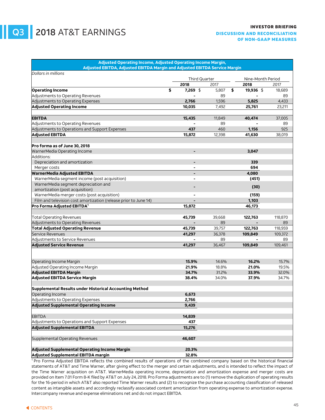#### DISCUSSION AND RECONCILIATION OF NON-GAAP MEASURES INVESTOR BRIEFING

| Adjusted Operating Income, Adjusted Operating Income Margin,                                      |                          |              |                   |               |
|---------------------------------------------------------------------------------------------------|--------------------------|--------------|-------------------|---------------|
| Adjusted EBITDA, Adjusted EBITDA Margin and Adjusted EBITDA Service Margin<br>Dollars in millions |                          |              |                   |               |
|                                                                                                   | Third Quarter            |              | Nine-Month Period |               |
|                                                                                                   | 2018                     | 2017         | 2018              | 2017          |
| <b>Operating Income</b>                                                                           | \$<br>7,269 $$$          | 5,807        | \$<br>19,936 \$   | 18,689        |
| Adjustments to Operating Revenues                                                                 |                          | 89           |                   | 89            |
| Adjustments to Operating Expenses                                                                 | 2,766                    | 1,596        | 5,825             | 4,433         |
| <b>Adjusted Operating Income</b>                                                                  | 10,035                   | 7,492        | 25,761            | 23,211        |
|                                                                                                   |                          |              |                   |               |
| <b>EBITDA</b>                                                                                     | 15,435                   | 11.849       | 40,474            | 37,005        |
| Adjustments to Operating Revenues<br>Adjustments to Operations and Support Expenses               | 437                      | 89<br>460    | 1,156             | 89<br>925     |
| <b>Adjusted EBITDA</b>                                                                            | 15,872                   | 12,398       | 41,630            | 38,019        |
|                                                                                                   |                          |              |                   |               |
| Pro forma as of June 30, 2018                                                                     |                          |              |                   |               |
| WarnerMedia Operating Income                                                                      |                          |              | 3,047             |               |
| Additions:                                                                                        |                          |              |                   |               |
| Depreciation and amortization                                                                     | $\overline{\phantom{a}}$ |              | 339               |               |
| Merger costs                                                                                      |                          |              | 694               |               |
| WarnerMedia Adjusted EBITDA                                                                       |                          |              | 4,080             |               |
| WarnerMedia segment income (post acquisition)                                                     |                          |              | (451)             |               |
| WarnerMedia segment depreciation and                                                              |                          |              | (30)              |               |
| amortization (post acquisition)                                                                   |                          |              |                   |               |
| WarnerMedia merger costs (post acquisition)                                                       |                          |              | (159)             |               |
| Film and television cost amortization (release prior to June 14)                                  |                          |              | 1,103             |               |
| Pro Forma Adjusted EBITDA <sup>1</sup>                                                            | 15,872                   |              | 46,173            |               |
|                                                                                                   |                          |              |                   |               |
| <b>Total Operating Revenues</b>                                                                   | 45,739                   | 39,668       | 122,763           | 118,870       |
| Adjustments to Operating Revenues                                                                 |                          | 89           |                   | 89            |
| <b>Total Adjusted Operating Revenue</b>                                                           | 45,739                   | 39,757       | 122,763           | 118,959       |
| Service Revenues                                                                                  | 41,297                   | 36,378<br>89 | 109,849           | 109,372<br>89 |
| Adjustments to Service Revenues<br><b>Adjusted Service Revenue</b>                                | 41,297                   | 36,467       | 109,849           | 109,461       |
|                                                                                                   |                          |              |                   |               |
|                                                                                                   |                          |              |                   |               |
| Operating Income Margin                                                                           | 15.9%                    | 14.6%        | 16.2%             | 15.7%         |
| Adjusted Operating Income Margin                                                                  | 21.9%                    | 18.8%        | 21.0%             | 19.5%         |
| <b>Adjusted EBITDA Margin</b>                                                                     | 34.7%                    | 31.2%        | 33.9%             | 32.0%         |
| <b>Adjusted EBITDA Service Margin</b>                                                             | 38.4%                    | 34.0%        | 37.9%             | 34.7%         |
|                                                                                                   |                          |              |                   |               |
| Supplemental Results under Historical Accounting Method                                           |                          |              |                   |               |
| Operating Income                                                                                  | 6,673                    |              |                   |               |
| Adjustments to Operating Expenses                                                                 | 2,766                    |              |                   |               |
| <b>Adjusted Supplemental Operating Income</b>                                                     | 9,439                    |              |                   |               |
|                                                                                                   |                          |              |                   |               |
| <b>EBITDA</b>                                                                                     | 14.839                   |              |                   |               |
| Adjustments to Operations and Support Expenses                                                    | 437                      |              |                   |               |
| <b>Adjusted Supplemental EBITDA</b>                                                               | 15,276                   |              |                   |               |
|                                                                                                   |                          |              |                   |               |
| Supplemental Operating Revenues                                                                   | 46,607                   |              |                   |               |
| <b>Adjusted Supplemental Operating Income Margin</b>                                              | 20.3%                    |              |                   |               |
| Adjusted Supplemental EBITDA margin                                                               | 32.8%                    |              |                   |               |

<sup>1</sup> Pro Forma Adjusted EBITDA reflects the combined results of operations of the combined company based on the historical financial statements of AT&T and Time Warner, after giving effect to the merger and certain adjustments, and is intended to reflect the impact of the Time Warner acquisition on AT&T. WarnerMedia operating income, depreciation and amortization expense and merger costs are provided on Item 7.01 Form 8-K filed by AT&T on July 24, 2018. Pro Forma adjustments are to (1) remove the duplication of operating results for the 16-period in which AT&T also reported Time Warner results and (2) to recognize the purchase accounting classification of released content as intangible assets and accordingly reclassify associated content amortization from operating expense to amortization expense. Intercompany revenue and expense eliminations net and do not impact EBITDA.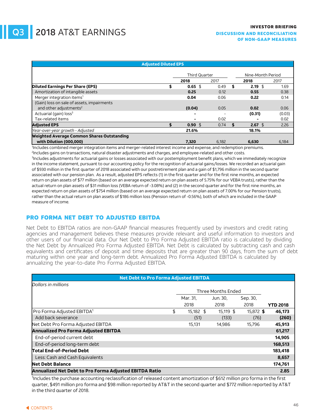| <b>Adjusted Diluted EPS</b>                       |                    |       |                   |          |        |  |
|---------------------------------------------------|--------------------|-------|-------------------|----------|--------|--|
|                                                   | Third Quarter      |       | Nine-Month Period |          |        |  |
|                                                   | 2018               | 2017  |                   | 2018     | 2017   |  |
| <b>Diluted Earnings Per Share (EPS)</b><br>S      | $0.65~\text{\AA}$  | 0.49  | S                 | 2.19 $$$ | 1.69   |  |
| Amortization of intangible assets                 | 0.25               | 0.12  |                   | 0.55     | 0.38   |  |
| Merger integration items <sup>1</sup>             | 0.04               | 0.06  |                   | 0.22     | 0.14   |  |
| (Gain) loss on sale of assets, impairments        |                    |       |                   |          |        |  |
| and other adjustments <sup>2</sup>                | (0.04)             | 0.05  |                   | 0.02     | 0.06   |  |
| Actuarial (gain) loss <sup>3</sup>                |                    |       |                   | (0.31)   | (0.03) |  |
| Tax-related items                                 | $\blacksquare$     | 0.02  |                   |          | 0.02   |  |
| <b>Adjusted EPS</b>                               | $0.90 \text{ }$ \$ | 0.74  |                   | 2.67 $$$ | 2.26   |  |
| Year-over-year growth - Adjusted                  | 21.6%              |       |                   | 18.1%    |        |  |
| <b>Weighted Average Common Shares Outstanding</b> |                    |       |                   |          |        |  |
| with Dilution (000,000)                           | 7,320              | 6.182 |                   | 6,630    | 6,184  |  |

<sup>1</sup>Includes combined merger integration items and merger-related interest income and expense, and redemption premiums. <sup>2</sup>Includes gains on transactions, natural disaster adjustments and charges, and employee-related and other costs.<br><sup>3</sup>Includes adjustments for actuarial gains or losses associated with our postemployment benefit plans, whi

Includes adjustments for actuarial gains or losses associated with our postemployment benefit plans, which we immediately recognize 2 <sup>9</sup>includes adjustments for actuarial gains or losses associated with our postemployment benefit plans, which we immediately recognize<br>in the income statement, pursuant to our accounting policy for the recognition of actua of \$930 million in the first quarter of 2018 associated with our postretirement plan and a gain of \$1,796 million in the second quarter associated with our pension plan. As a result, adjusted EPS reflects (1) in the first quarter and for the first nine months, an expected return on plan assets of \$77 million (based on an average expected return on plan assets of 5.75% for our VEBA trusts), rather than the actual return on plan assets of \$31 million loss (VEBA return of -3.08%) and (2) in the second quarter and for the first nine months, an expected return on plan assets of \$754 million (based on an average expected return on plan assets of 7.00% for our Pension trusts), rather than the actual return on plan assets of \$186 million loss (Pension return of -0.56%), both of which are included in the GAAP measure of income. rather than the actual return on plan assets of  $\alpha$  -0.56% included in the GAAP million return of  $\alpha$ 

#### PRO FORMA NET DEBT TO ADJUSTED EBITDA **Pro Forma Net Debt to Adjusted EBITDA**

Net Debt to EBITDA ratios are non-GAAP financial measures frequently used by investors and credit rating agencies and management believes these measures provide relevant and useful information to investors and other users of our financial data. Our Net Debt to Pro Forma Adjusted EBITDA ratio is calculated by dividing the Net Debt by Annualized Pro Forma Adjusted EBITDA. Net Debt is calculated by subtracting cash and cash equivalents and certificates of deposit and time deposits that are greater than 90 days, from the sum of debt equivalents and certificates of deposit and time deposits that are greater than 90 days, from the sum of de<br>maturing within one year and long-term debt. Annualized Pro Forma Adjusted EBITDA is calculated by annualizing the year-to-date Pro Forma Adjusted EBITDA.

| <b>Net Debt to Pro Forma Adjusted EBITDA</b>           |                           |                    |                      |                 |
|--------------------------------------------------------|---------------------------|--------------------|----------------------|-----------------|
| Dollars in millions                                    |                           |                    |                      |                 |
|                                                        |                           | Three Months Ended |                      |                 |
|                                                        | Mar. 31.                  | Jun. 30,           | Sep. 30,             |                 |
|                                                        | 2018                      | 2018               | 2018                 | <b>YTD 2018</b> |
| Pro Forma Adjusted EBITDA <sup>1</sup>                 | \$<br>$15.182 \text{ } $$ | 15.119 \$          | 15,872 $\frac{1}{2}$ | 46,173          |
| Add back severance                                     | (51)                      | (133)              | (76)                 | (260)           |
| Net Debt Pro Forma Adjusted EBITDA                     | 15,131                    | 14,986             | 15.796               | 45,913          |
| <b>Annualized Pro Forma Adjusted EBITDA</b>            |                           |                    |                      | 61,217          |
| End-of-period current debt                             |                           |                    |                      | 14,905          |
| End-of-period long-term debt                           |                           |                    |                      | 168,513         |
| <b>Total End-of-Period Debt</b>                        |                           |                    |                      | 183,418         |
| Less: Cash and Cash Equivalents                        |                           |                    |                      | 8,657           |
| <b>Net Debt Balance</b>                                |                           |                    |                      | 174,761         |
| Annualized Net Debt to Pro Forma Adjusted EBITDA Ratio |                           |                    |                      | 2.85            |

1ncludes the purchase accounting reclassification of released content amortization of \$612 million pro forma in the first quarter, \$491 million pro forma and \$98 million reported by AT&T in the second quarter and \$772 million reported by AT&T in the third quarter of 2018.